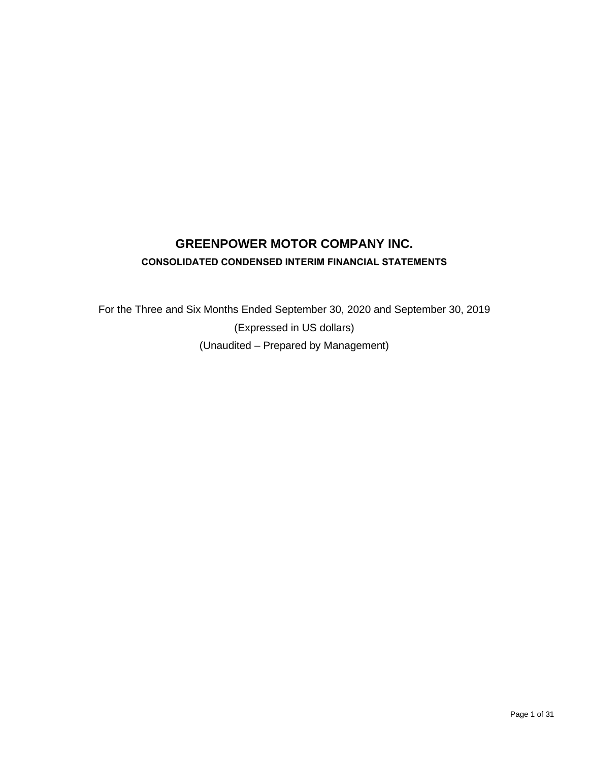# **GREENPOWER MOTOR COMPANY INC. CONSOLIDATED CONDENSED INTERIM FINANCIAL STATEMENTS**

For the Three and Six Months Ended September 30, 2020 and September 30, 2019 (Expressed in US dollars) (Unaudited – Prepared by Management)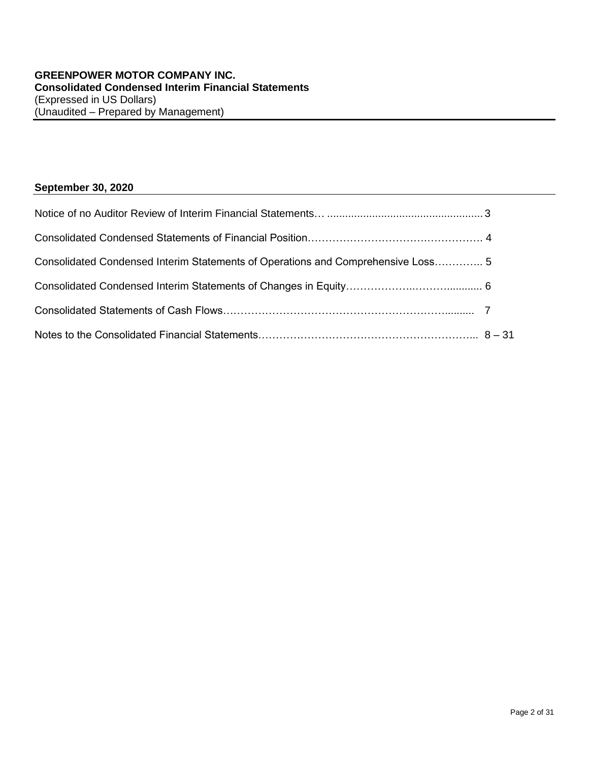# **September 30, 2020**

| Consolidated Condensed Interim Statements of Operations and Comprehensive Loss 5 |  |
|----------------------------------------------------------------------------------|--|
|                                                                                  |  |
|                                                                                  |  |
|                                                                                  |  |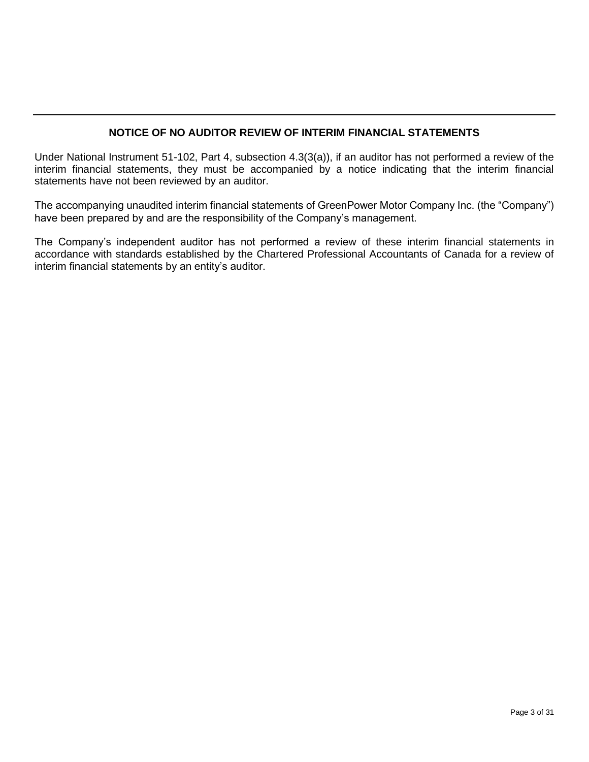# **NOTICE OF NO AUDITOR REVIEW OF INTERIM FINANCIAL STATEMENTS**

Under National Instrument 51-102, Part 4, subsection 4.3(3(a)), if an auditor has not performed a review of the interim financial statements, they must be accompanied by a notice indicating that the interim financial statements have not been reviewed by an auditor.

The accompanying unaudited interim financial statements of GreenPower Motor Company Inc. (the "Company") have been prepared by and are the responsibility of the Company's management.

The Company's independent auditor has not performed a review of these interim financial statements in accordance with standards established by the Chartered Professional Accountants of Canada for a review of interim financial statements by an entity's auditor.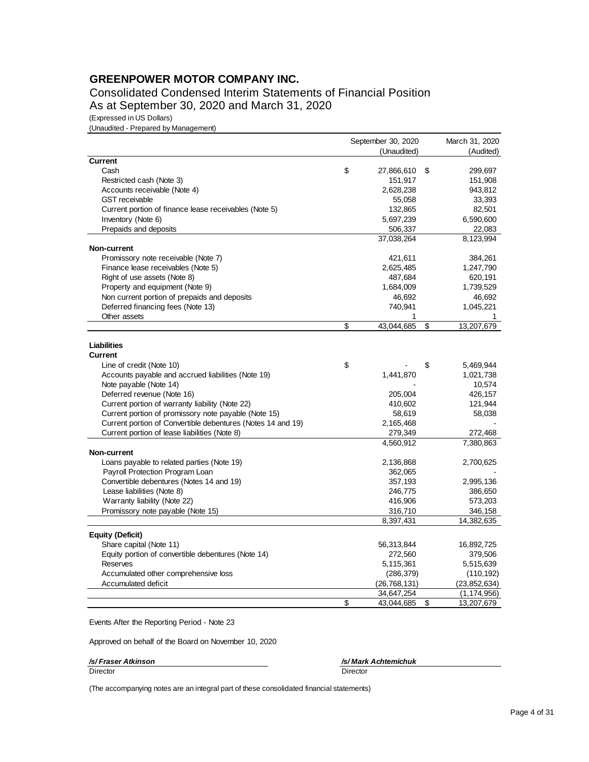Consolidated Condensed Interim Statements of Financial Position As at September 30, 2020 and March 31, 2020

(Expressed in US Dollars)

(Unaudited - Prepared by Management)

|                                                             | September 30, 2020 | March 31, 2020   |
|-------------------------------------------------------------|--------------------|------------------|
|                                                             | (Unaudited)        | (Audited)        |
| <b>Current</b>                                              |                    |                  |
| Cash                                                        | \$<br>27,866,610   | \$<br>299,697    |
| Restricted cash (Note 3)                                    | 151,917            | 151,908          |
| Accounts receivable (Note 4)                                | 2,628,238          | 943,812          |
| <b>GST</b> receivable                                       | 55,058             | 33,393           |
| Current portion of finance lease receivables (Note 5)       | 132,865            | 82,501           |
| Inventory (Note 6)                                          | 5,697,239          | 6,590,600        |
| Prepaids and deposits                                       | 506,337            | 22,083           |
|                                                             | 37.038.264         | 8,123,994        |
| Non-current                                                 |                    |                  |
| Promissory note receivable (Note 7)                         | 421,611            | 384,261          |
| Finance lease receivables (Note 5)                          | 2,625,485          | 1,247,790        |
| Right of use assets (Note 8)                                | 487,684            | 620,191          |
| Property and equipment (Note 9)                             | 1,684,009          | 1,739,529        |
| Non current portion of prepaids and deposits                | 46,692             | 46,692           |
| Deferred financing fees (Note 13)                           | 740,941            | 1,045,221        |
| Other assets                                                | 1                  | 1                |
|                                                             | \$<br>43,044,685   | \$<br>13,207,679 |
|                                                             |                    |                  |
| Liabilities                                                 |                    |                  |
| <b>Current</b>                                              |                    |                  |
| Line of credit (Note 10)                                    | \$                 | \$<br>5,469,944  |
| Accounts payable and accrued liabilities (Note 19)          | 1,441,870          | 1,021,738        |
| Note payable (Note 14)                                      |                    | 10,574           |
| Deferred revenue (Note 16)                                  | 205,004            | 426,157          |
| Current portion of warranty liability (Note 22)             | 410,602            | 121,944          |
| Current portion of promissory note payable (Note 15)        | 58,619             | 58,038           |
| Current portion of Convertible debentures (Notes 14 and 19) | 2,165,468          |                  |
| Current portion of lease liabilities (Note 8)               | 279,349            | 272,468          |
|                                                             | 4,560,912          | 7,380,863        |
| Non-current                                                 |                    |                  |
| Loans payable to related parties (Note 19)                  | 2,136,868          | 2,700,625        |
| Payroll Protection Program Loan                             | 362,065            |                  |
| Convertible debentures (Notes 14 and 19)                    | 357,193            | 2,995,136        |
| Lease liabilities (Note 8)                                  | 246,775            | 386,650          |
| Warranty liability (Note 22)                                | 416,906            | 573,203          |
| Promissory note payable (Note 15)                           | 316,710            | 346,158          |
|                                                             | 8,397,431          | 14,382,635       |
| <b>Equity (Deficit)</b>                                     |                    |                  |
| Share capital (Note 11)                                     | 56,313,844         | 16,892,725       |
| Equity portion of convertible debentures (Note 14)          | 272,560            | 379,506          |
| <b>Reserves</b>                                             | 5,115,361          | 5,515,639        |
| Accumulated other comprehensive loss                        | (286, 379)         | (110, 192)       |
| Accumulated deficit                                         | (26,768,131)       | (23,852,634)     |
|                                                             | 34,647,254         | (1, 174, 956)    |
|                                                             | \$<br>43,044,685   | \$<br>13,207,679 |

Events After the Reporting Period - Note 23

Approved on behalf of the Board on November 10, 2020

*/s/ Fraser Atkinson /s/ Mark Achtemichuk*

Director Director

(The accompanying notes are an integral part of these consolidated financial statements)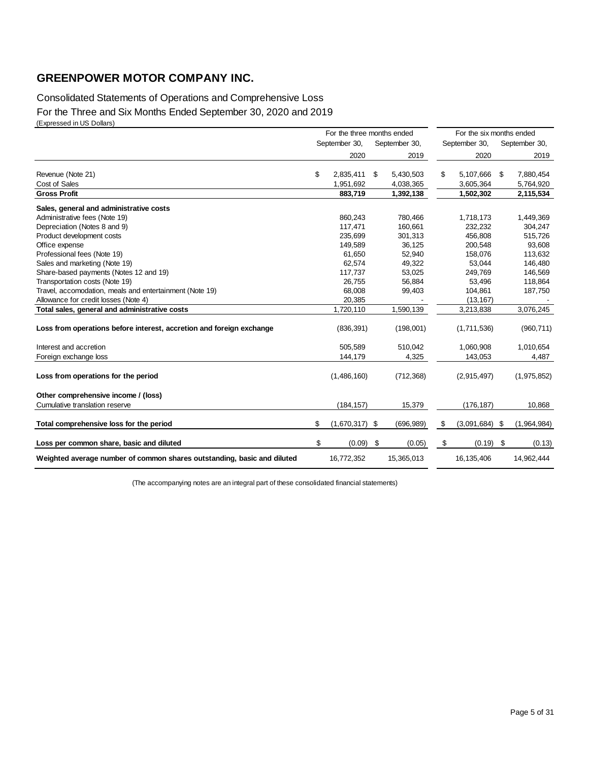## Consolidated Statements of Operations and Comprehensive Loss For the Three and Six Months Ended September 30, 2020 and 2019 (Expressed in US Dollars)

|                                                                         | For the three months ended |     |               |    | For the six months ended |    |               |  |
|-------------------------------------------------------------------------|----------------------------|-----|---------------|----|--------------------------|----|---------------|--|
|                                                                         | September 30,              |     | September 30, |    | September 30,            |    | September 30, |  |
|                                                                         | 2020                       |     | 2019          |    | 2020                     |    | 2019          |  |
| Revenue (Note 21)                                                       | \$<br>2,835,411            | \$  | 5,430,503     | \$ | 5,107,666                | \$ | 7,880,454     |  |
| Cost of Sales                                                           | 1,951,692                  |     | 4,038,365     |    | 3,605,364                |    | 5,764,920     |  |
| <b>Gross Profit</b>                                                     | 883,719                    |     | 1,392,138     |    | 1,502,302                |    | 2,115,534     |  |
| Sales, general and administrative costs                                 |                            |     |               |    |                          |    |               |  |
| Administrative fees (Note 19)                                           | 860,243                    |     | 780,466       |    | 1,718,173                |    | 1,449,369     |  |
| Depreciation (Notes 8 and 9)                                            | 117,471                    |     | 160,661       |    | 232,232                  |    | 304,247       |  |
| Product development costs                                               | 235,699                    |     | 301,313       |    | 456,808                  |    | 515,726       |  |
| Office expense                                                          | 149,589                    |     | 36,125        |    | 200,548                  |    | 93,608        |  |
| Professional fees (Note 19)                                             | 61,650                     |     | 52,940        |    | 158,076                  |    | 113,632       |  |
| Sales and marketing (Note 19)                                           | 62,574                     |     | 49,322        |    | 53,044                   |    | 146,480       |  |
| Share-based payments (Notes 12 and 19)                                  | 117,737                    |     | 53,025        |    | 249,769                  |    | 146,569       |  |
| Transportation costs (Note 19)                                          | 26,755                     |     | 56,884        |    | 53,496                   |    | 118,864       |  |
| Travel, accomodation, meals and entertainment (Note 19)                 | 68,008                     |     | 99,403        |    | 104,861                  |    | 187,750       |  |
| Allowance for credit losses (Note 4)                                    | 20,385                     |     |               |    | (13, 167)                |    |               |  |
| Total sales, general and administrative costs                           | 1,720,110                  |     | 1,590,139     |    | 3,213,838                |    | 3,076,245     |  |
| Loss from operations before interest, accretion and foreign exchange    | (836, 391)                 |     | (198,001)     |    | (1,711,536)              |    | (960, 711)    |  |
| Interest and accretion                                                  | 505,589                    |     | 510,042       |    | 1,060,908                |    | 1,010,654     |  |
| Foreign exchange loss                                                   | 144,179                    |     | 4,325         |    | 143,053                  |    | 4,487         |  |
| Loss from operations for the period                                     | (1,486,160)                |     | (712, 368)    |    | (2,915,497)              |    | (1,975,852)   |  |
| Other comprehensive income / (loss)                                     |                            |     |               |    |                          |    |               |  |
| Cumulative translation reserve                                          | (184, 157)                 |     | 15,379        |    | (176, 187)               |    | 10,868        |  |
| Total comprehensive loss for the period                                 | \$<br>$(1,670,317)$ \$     |     | (696, 989)    | \$ | $(3,091,684)$ \$         |    | (1,964,984)   |  |
| Loss per common share, basic and diluted                                | \$<br>(0.09)               | -\$ | (0.05)        | \$ | (0.19)                   | \$ | (0.13)        |  |
| Weighted average number of common shares outstanding, basic and diluted | 16,772,352                 |     | 15,365,013    |    | 16, 135, 406             |    | 14,962,444    |  |

(The accompanying notes are an integral part of these consolidated financial statements)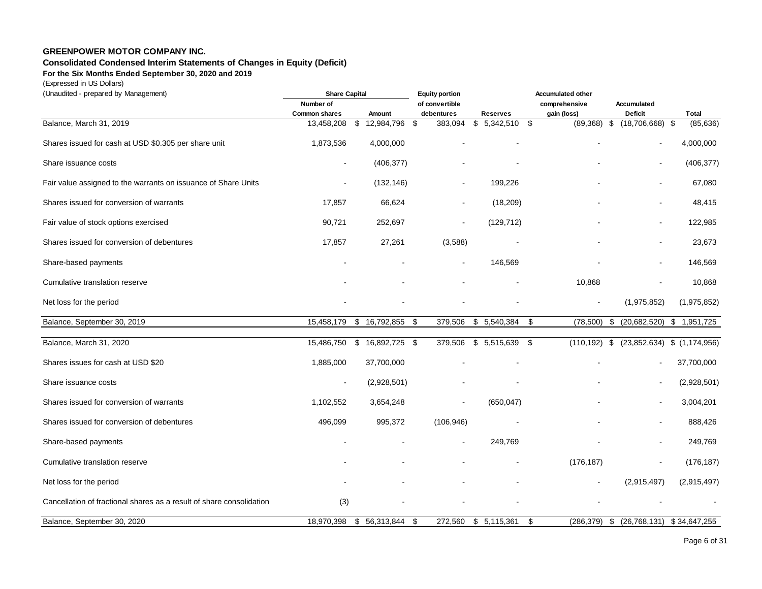## **Consolidated Condensed Interim Statements of Changes in Equity (Deficit)**

**For the Six Months Ended September 30, 2020 and 2019**

(Expressed in US Dollars)

| of convertible<br>Number of<br>comprehensive<br>Accumulated<br>Deficit<br>Total<br><b>Common shares</b><br>Amount<br>debentures<br><b>Reserves</b><br>gain (loss)<br>Balance, March 31, 2019<br>\$<br>\$<br>-\$<br>13,458,208<br>\$<br>12,984,796<br>383,094<br>5,342,510<br>(89, 368)<br>\$<br>(18,706,668)<br>(85, 636)<br>\$<br>4,000,000<br>Shares issued for cash at USD \$0.305 per share unit<br>1,873,536<br>4,000,000<br>(406, 377)<br>Share issuance costs<br>(406, 377)<br>$\blacksquare$<br>Fair value assigned to the warrants on issuance of Share Units<br>(132, 146)<br>199,226<br>67,080<br>$\blacksquare$<br>Shares issued for conversion of warrants<br>17,857<br>(18, 209)<br>48,415<br>66,624<br>90,721<br>122,985<br>Fair value of stock options exercised<br>252,697<br>(129, 712)<br>$\blacksquare$<br>Shares issued for conversion of debentures<br>17,857<br>(3,588)<br>27,261<br>23,673<br>Share-based payments<br>146,569<br>146,569<br>$\overline{a}$<br>$\overline{a}$<br>10,868<br>10,868<br>Cumulative translation reserve<br>(1,975,852)<br>Net loss for the period<br>(1,975,852)<br>(20,682,520) \$ 1,951,725<br>Balance, September 30, 2019<br>15,458,179<br>\$16,792,855<br>\$<br>379,506<br>\$5,540,384<br>(78, 500)<br>\$<br>\$<br>Balance, March 31, 2020<br>15,486,750<br>\$16,892,725<br>379,506<br>\$ 5,515,639<br>- \$<br>(110, 192)<br>\$<br>$(23,852,634)$ \$ $(1,174,956)$<br>-\$<br>37,700,000<br>Shares issues for cash at USD \$20<br>1,885,000<br>37,700,000<br>Share issuance costs<br>(2,928,501)<br>(2,928,501)<br>$\tilde{\phantom{a}}$<br>Shares issued for conversion of warrants<br>(650, 047)<br>3,004,201<br>1,102,552<br>3,654,248<br>L.<br>Shares issued for conversion of debentures<br>496,099<br>995,372<br>(106, 946)<br>888,426<br>249,769<br>Share-based payments<br>249,769<br>$\sim$<br>Cumulative translation reserve<br>(176, 187)<br>(176, 187)<br>Net loss for the period<br>(2,915,497)<br>(2,915,497)<br>(3)<br>Cancellation of fractional shares as a result of share consolidation<br>\$5,115,361<br>Balance, September 30, 2020<br>18,970,398<br>\$56,313,844<br>272,560<br>\$<br>(286, 379)<br>$$$ (26,768,131) $$$ 34,647,255<br>\$ | (Unaudited - prepared by Management) | <b>Share Capital</b> |  | <b>Equity portion</b> | <b>Accumulated other</b> |  |  |  |  |
|----------------------------------------------------------------------------------------------------------------------------------------------------------------------------------------------------------------------------------------------------------------------------------------------------------------------------------------------------------------------------------------------------------------------------------------------------------------------------------------------------------------------------------------------------------------------------------------------------------------------------------------------------------------------------------------------------------------------------------------------------------------------------------------------------------------------------------------------------------------------------------------------------------------------------------------------------------------------------------------------------------------------------------------------------------------------------------------------------------------------------------------------------------------------------------------------------------------------------------------------------------------------------------------------------------------------------------------------------------------------------------------------------------------------------------------------------------------------------------------------------------------------------------------------------------------------------------------------------------------------------------------------------------------------------------------------------------------------------------------------------------------------------------------------------------------------------------------------------------------------------------------------------------------------------------------------------------------------------------------------------------------------------------------------------------------------------------------------------------------------------------------------------------------------------------------------------------------------|--------------------------------------|----------------------|--|-----------------------|--------------------------|--|--|--|--|
|                                                                                                                                                                                                                                                                                                                                                                                                                                                                                                                                                                                                                                                                                                                                                                                                                                                                                                                                                                                                                                                                                                                                                                                                                                                                                                                                                                                                                                                                                                                                                                                                                                                                                                                                                                                                                                                                                                                                                                                                                                                                                                                                                                                                                      |                                      |                      |  |                       |                          |  |  |  |  |
|                                                                                                                                                                                                                                                                                                                                                                                                                                                                                                                                                                                                                                                                                                                                                                                                                                                                                                                                                                                                                                                                                                                                                                                                                                                                                                                                                                                                                                                                                                                                                                                                                                                                                                                                                                                                                                                                                                                                                                                                                                                                                                                                                                                                                      |                                      |                      |  |                       |                          |  |  |  |  |
|                                                                                                                                                                                                                                                                                                                                                                                                                                                                                                                                                                                                                                                                                                                                                                                                                                                                                                                                                                                                                                                                                                                                                                                                                                                                                                                                                                                                                                                                                                                                                                                                                                                                                                                                                                                                                                                                                                                                                                                                                                                                                                                                                                                                                      |                                      |                      |  |                       |                          |  |  |  |  |
|                                                                                                                                                                                                                                                                                                                                                                                                                                                                                                                                                                                                                                                                                                                                                                                                                                                                                                                                                                                                                                                                                                                                                                                                                                                                                                                                                                                                                                                                                                                                                                                                                                                                                                                                                                                                                                                                                                                                                                                                                                                                                                                                                                                                                      |                                      |                      |  |                       |                          |  |  |  |  |
|                                                                                                                                                                                                                                                                                                                                                                                                                                                                                                                                                                                                                                                                                                                                                                                                                                                                                                                                                                                                                                                                                                                                                                                                                                                                                                                                                                                                                                                                                                                                                                                                                                                                                                                                                                                                                                                                                                                                                                                                                                                                                                                                                                                                                      |                                      |                      |  |                       |                          |  |  |  |  |
|                                                                                                                                                                                                                                                                                                                                                                                                                                                                                                                                                                                                                                                                                                                                                                                                                                                                                                                                                                                                                                                                                                                                                                                                                                                                                                                                                                                                                                                                                                                                                                                                                                                                                                                                                                                                                                                                                                                                                                                                                                                                                                                                                                                                                      |                                      |                      |  |                       |                          |  |  |  |  |
|                                                                                                                                                                                                                                                                                                                                                                                                                                                                                                                                                                                                                                                                                                                                                                                                                                                                                                                                                                                                                                                                                                                                                                                                                                                                                                                                                                                                                                                                                                                                                                                                                                                                                                                                                                                                                                                                                                                                                                                                                                                                                                                                                                                                                      |                                      |                      |  |                       |                          |  |  |  |  |
|                                                                                                                                                                                                                                                                                                                                                                                                                                                                                                                                                                                                                                                                                                                                                                                                                                                                                                                                                                                                                                                                                                                                                                                                                                                                                                                                                                                                                                                                                                                                                                                                                                                                                                                                                                                                                                                                                                                                                                                                                                                                                                                                                                                                                      |                                      |                      |  |                       |                          |  |  |  |  |
|                                                                                                                                                                                                                                                                                                                                                                                                                                                                                                                                                                                                                                                                                                                                                                                                                                                                                                                                                                                                                                                                                                                                                                                                                                                                                                                                                                                                                                                                                                                                                                                                                                                                                                                                                                                                                                                                                                                                                                                                                                                                                                                                                                                                                      |                                      |                      |  |                       |                          |  |  |  |  |
|                                                                                                                                                                                                                                                                                                                                                                                                                                                                                                                                                                                                                                                                                                                                                                                                                                                                                                                                                                                                                                                                                                                                                                                                                                                                                                                                                                                                                                                                                                                                                                                                                                                                                                                                                                                                                                                                                                                                                                                                                                                                                                                                                                                                                      |                                      |                      |  |                       |                          |  |  |  |  |
|                                                                                                                                                                                                                                                                                                                                                                                                                                                                                                                                                                                                                                                                                                                                                                                                                                                                                                                                                                                                                                                                                                                                                                                                                                                                                                                                                                                                                                                                                                                                                                                                                                                                                                                                                                                                                                                                                                                                                                                                                                                                                                                                                                                                                      |                                      |                      |  |                       |                          |  |  |  |  |
|                                                                                                                                                                                                                                                                                                                                                                                                                                                                                                                                                                                                                                                                                                                                                                                                                                                                                                                                                                                                                                                                                                                                                                                                                                                                                                                                                                                                                                                                                                                                                                                                                                                                                                                                                                                                                                                                                                                                                                                                                                                                                                                                                                                                                      |                                      |                      |  |                       |                          |  |  |  |  |
|                                                                                                                                                                                                                                                                                                                                                                                                                                                                                                                                                                                                                                                                                                                                                                                                                                                                                                                                                                                                                                                                                                                                                                                                                                                                                                                                                                                                                                                                                                                                                                                                                                                                                                                                                                                                                                                                                                                                                                                                                                                                                                                                                                                                                      |                                      |                      |  |                       |                          |  |  |  |  |
|                                                                                                                                                                                                                                                                                                                                                                                                                                                                                                                                                                                                                                                                                                                                                                                                                                                                                                                                                                                                                                                                                                                                                                                                                                                                                                                                                                                                                                                                                                                                                                                                                                                                                                                                                                                                                                                                                                                                                                                                                                                                                                                                                                                                                      |                                      |                      |  |                       |                          |  |  |  |  |
|                                                                                                                                                                                                                                                                                                                                                                                                                                                                                                                                                                                                                                                                                                                                                                                                                                                                                                                                                                                                                                                                                                                                                                                                                                                                                                                                                                                                                                                                                                                                                                                                                                                                                                                                                                                                                                                                                                                                                                                                                                                                                                                                                                                                                      |                                      |                      |  |                       |                          |  |  |  |  |
|                                                                                                                                                                                                                                                                                                                                                                                                                                                                                                                                                                                                                                                                                                                                                                                                                                                                                                                                                                                                                                                                                                                                                                                                                                                                                                                                                                                                                                                                                                                                                                                                                                                                                                                                                                                                                                                                                                                                                                                                                                                                                                                                                                                                                      |                                      |                      |  |                       |                          |  |  |  |  |
|                                                                                                                                                                                                                                                                                                                                                                                                                                                                                                                                                                                                                                                                                                                                                                                                                                                                                                                                                                                                                                                                                                                                                                                                                                                                                                                                                                                                                                                                                                                                                                                                                                                                                                                                                                                                                                                                                                                                                                                                                                                                                                                                                                                                                      |                                      |                      |  |                       |                          |  |  |  |  |
|                                                                                                                                                                                                                                                                                                                                                                                                                                                                                                                                                                                                                                                                                                                                                                                                                                                                                                                                                                                                                                                                                                                                                                                                                                                                                                                                                                                                                                                                                                                                                                                                                                                                                                                                                                                                                                                                                                                                                                                                                                                                                                                                                                                                                      |                                      |                      |  |                       |                          |  |  |  |  |
|                                                                                                                                                                                                                                                                                                                                                                                                                                                                                                                                                                                                                                                                                                                                                                                                                                                                                                                                                                                                                                                                                                                                                                                                                                                                                                                                                                                                                                                                                                                                                                                                                                                                                                                                                                                                                                                                                                                                                                                                                                                                                                                                                                                                                      |                                      |                      |  |                       |                          |  |  |  |  |
|                                                                                                                                                                                                                                                                                                                                                                                                                                                                                                                                                                                                                                                                                                                                                                                                                                                                                                                                                                                                                                                                                                                                                                                                                                                                                                                                                                                                                                                                                                                                                                                                                                                                                                                                                                                                                                                                                                                                                                                                                                                                                                                                                                                                                      |                                      |                      |  |                       |                          |  |  |  |  |
|                                                                                                                                                                                                                                                                                                                                                                                                                                                                                                                                                                                                                                                                                                                                                                                                                                                                                                                                                                                                                                                                                                                                                                                                                                                                                                                                                                                                                                                                                                                                                                                                                                                                                                                                                                                                                                                                                                                                                                                                                                                                                                                                                                                                                      |                                      |                      |  |                       |                          |  |  |  |  |
|                                                                                                                                                                                                                                                                                                                                                                                                                                                                                                                                                                                                                                                                                                                                                                                                                                                                                                                                                                                                                                                                                                                                                                                                                                                                                                                                                                                                                                                                                                                                                                                                                                                                                                                                                                                                                                                                                                                                                                                                                                                                                                                                                                                                                      |                                      |                      |  |                       |                          |  |  |  |  |
|                                                                                                                                                                                                                                                                                                                                                                                                                                                                                                                                                                                                                                                                                                                                                                                                                                                                                                                                                                                                                                                                                                                                                                                                                                                                                                                                                                                                                                                                                                                                                                                                                                                                                                                                                                                                                                                                                                                                                                                                                                                                                                                                                                                                                      |                                      |                      |  |                       |                          |  |  |  |  |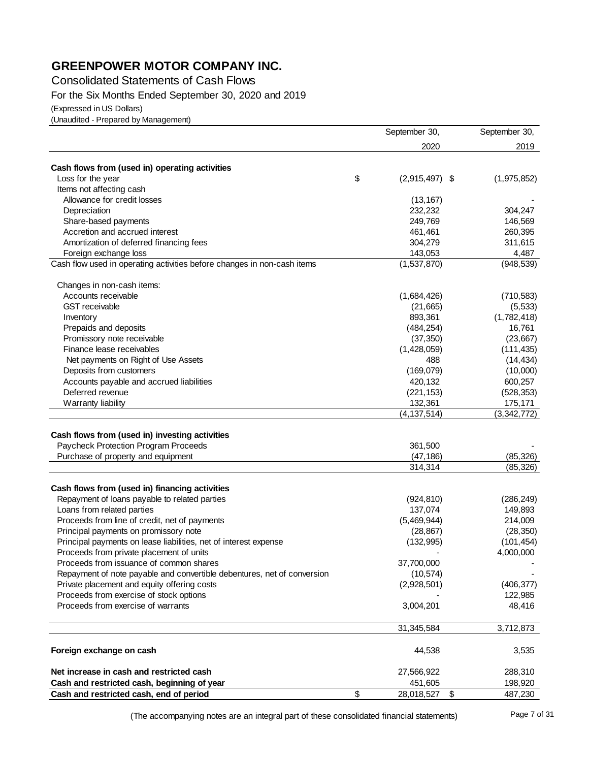Consolidated Statements of Cash Flows

For the Six Months Ended September 30, 2020 and 2019

(Expressed in US Dollars)

(Unaudited - Prepared by Management)

|                                                                         | September 30,          | September 30, |
|-------------------------------------------------------------------------|------------------------|---------------|
|                                                                         | 2020                   | 2019          |
| Cash flows from (used in) operating activities                          |                        |               |
| Loss for the year                                                       | \$<br>$(2,915,497)$ \$ | (1,975,852)   |
| Items not affecting cash                                                |                        |               |
| Allowance for credit losses                                             | (13, 167)              |               |
| Depreciation                                                            | 232,232                | 304,247       |
| Share-based payments                                                    | 249,769                | 146,569       |
| Accretion and accrued interest                                          | 461,461                | 260,395       |
| Amortization of deferred financing fees                                 | 304,279                | 311,615       |
| Foreign exchange loss                                                   | 143,053                | 4,487         |
| Cash flow used in operating activities before changes in non-cash items | (1,537,870)            | (948, 539)    |
| Changes in non-cash items:                                              |                        |               |
| Accounts receivable                                                     | (1,684,426)            | (710, 583)    |
| <b>GST</b> receivable                                                   | (21, 665)              | (5, 533)      |
| Inventory                                                               | 893,361                | (1,782,418)   |
| Prepaids and deposits                                                   | (484, 254)             | 16,761        |
| Promissory note receivable                                              | (37, 350)              | (23, 667)     |
| Finance lease receivables                                               | (1,428,059)            | (111, 435)    |
| Net payments on Right of Use Assets                                     | 488                    | (14, 434)     |
| Deposits from customers                                                 | (169,079)              | (10,000)      |
| Accounts payable and accrued liabilities                                | 420,132                | 600,257       |
| Deferred revenue                                                        | (221, 153)             | (528, 353)    |
| Warranty liability                                                      | 132,361                | 175,171       |
|                                                                         | (4, 137, 514)          | (3,342,772)   |
|                                                                         |                        |               |
| Cash flows from (used in) investing activities                          |                        |               |
| Paycheck Protection Program Proceeds                                    | 361,500                |               |
| Purchase of property and equipment                                      | (47, 186)              | (85, 326)     |
|                                                                         | 314,314                | (85, 326)     |
| Cash flows from (used in) financing activities                          |                        |               |
| Repayment of loans payable to related parties                           | (924, 810)             | (286, 249)    |
| Loans from related parties                                              | 137,074                | 149,893       |
| Proceeds from line of credit, net of payments                           | (5,469,944)            | 214,009       |
| Principal payments on promissory note                                   | (28, 867)              | (28, 350)     |
| Principal payments on lease liabilities, net of interest expense        | (132, 995)             | (101, 454)    |
| Proceeds from private placement of units                                |                        | 4,000,000     |
| Proceeds from issuance of common shares                                 | 37,700,000             |               |
| Repayment of note payable and convertible debentures, net of conversion | (10, 574)              |               |
| Private placement and equity offering costs                             | (2,928,501)            | (406, 377)    |
| Proceeds from exercise of stock options                                 |                        | 122,985       |
| Proceeds from exercise of warrants                                      | 3,004,201              | 48,416        |
|                                                                         | 31,345,584             | 3,712,873     |
| Foreign exchange on cash                                                | 44,538                 | 3,535         |
| Net increase in cash and restricted cash                                | 27,566,922             | 288,310       |
| Cash and restricted cash, beginning of year                             | 451,605                | 198,920       |
| Cash and restricted cash, end of period                                 | \$<br>28,018,527       | \$<br>487,230 |

(The accompanying notes are an integral part of these consolidated financial statements)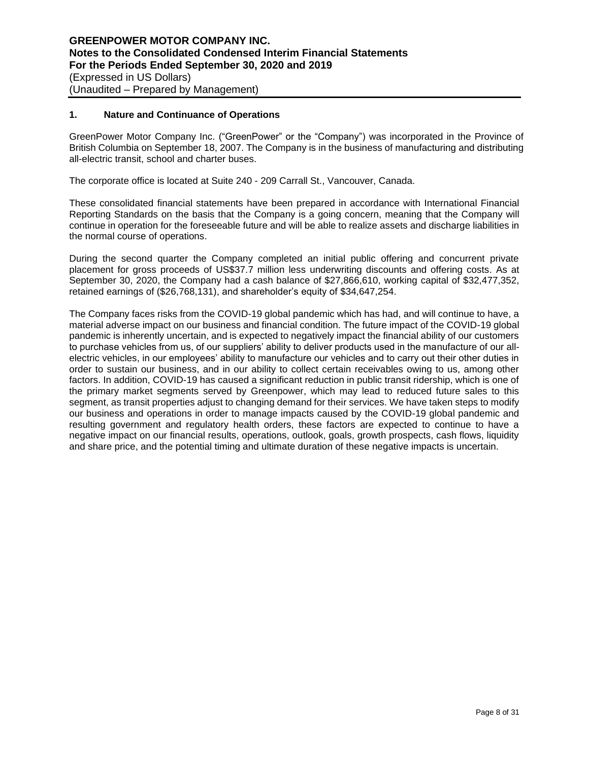## **1. Nature and Continuance of Operations**

GreenPower Motor Company Inc. ("GreenPower" or the "Company") was incorporated in the Province of British Columbia on September 18, 2007. The Company is in the business of manufacturing and distributing all-electric transit, school and charter buses.

The corporate office is located at Suite 240 - 209 Carrall St., Vancouver, Canada.

These consolidated financial statements have been prepared in accordance with International Financial Reporting Standards on the basis that the Company is a going concern, meaning that the Company will continue in operation for the foreseeable future and will be able to realize assets and discharge liabilities in the normal course of operations.

During the second quarter the Company completed an initial public offering and concurrent private placement for gross proceeds of US\$37.7 million less underwriting discounts and offering costs. As at September 30, 2020, the Company had a cash balance of \$27,866,610, working capital of \$32,477,352, retained earnings of (\$26,768,131), and shareholder's equity of \$34,647,254.

The Company faces risks from the COVID-19 global pandemic which has had, and will continue to have, a material adverse impact on our business and financial condition. The future impact of the COVID-19 global pandemic is inherently uncertain, and is expected to negatively impact the financial ability of our customers to purchase vehicles from us, of our suppliers' ability to deliver products used in the manufacture of our allelectric vehicles, in our employees' ability to manufacture our vehicles and to carry out their other duties in order to sustain our business, and in our ability to collect certain receivables owing to us, among other factors. In addition, COVID-19 has caused a significant reduction in public transit ridership, which is one of the primary market segments served by Greenpower, which may lead to reduced future sales to this segment, as transit properties adjust to changing demand for their services. We have taken steps to modify our business and operations in order to manage impacts caused by the COVID-19 global pandemic and resulting government and regulatory health orders, these factors are expected to continue to have a negative impact on our financial results, operations, outlook, goals, growth prospects, cash flows, liquidity and share price, and the potential timing and ultimate duration of these negative impacts is uncertain.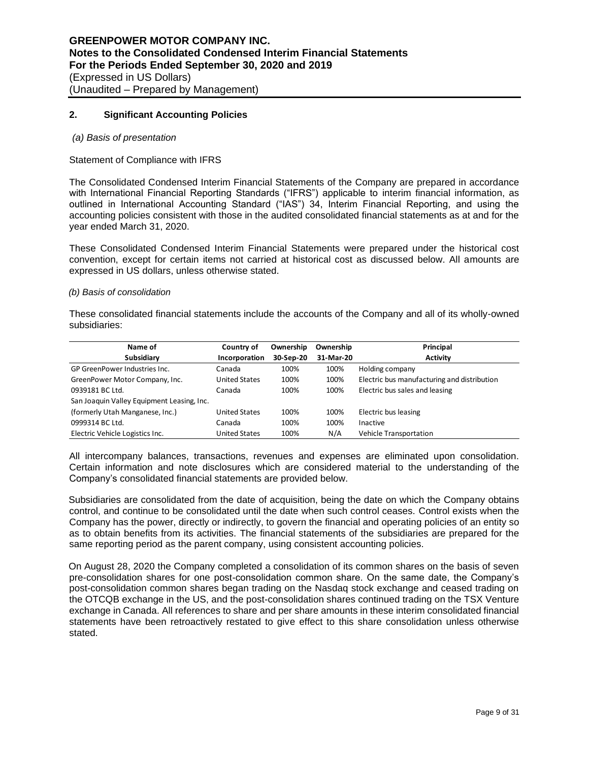## **2. Significant Accounting Policies**

#### *(a) Basis of presentation*

#### Statement of Compliance with IFRS

The Consolidated Condensed Interim Financial Statements of the Company are prepared in accordance with International Financial Reporting Standards ("IFRS") applicable to interim financial information, as outlined in International Accounting Standard ("IAS") 34, Interim Financial Reporting, and using the accounting policies consistent with those in the audited consolidated financial statements as at and for the year ended March 31, 2020.

These Consolidated Condensed Interim Financial Statements were prepared under the historical cost convention, except for certain items not carried at historical cost as discussed below. All amounts are expressed in US dollars, unless otherwise stated.

#### *(b) Basis of consolidation*

These consolidated financial statements include the accounts of the Company and all of its wholly-owned subsidiaries:

| Name of                                    | Country of           | Ownership | Ownership | Principal                                   |
|--------------------------------------------|----------------------|-----------|-----------|---------------------------------------------|
| Subsidiary                                 | Incorporation        | 30-Sep-20 | 31-Mar-20 | <b>Activity</b>                             |
| GP GreenPower Industries Inc.              | Canada               | 100%      | 100%      | Holding company                             |
| GreenPower Motor Company, Inc.             | <b>United States</b> | 100%      | 100%      | Electric bus manufacturing and distribution |
| 0939181 BC Ltd.                            | Canada               | 100%      | 100%      | Electric bus sales and leasing              |
| San Joaquin Valley Equipment Leasing, Inc. |                      |           |           |                                             |
| (formerly Utah Manganese, Inc.)            | <b>United States</b> | 100%      | 100%      | Electric bus leasing                        |
| 0999314 BC Ltd.                            | Canada               | 100%      | 100%      | Inactive                                    |
| Electric Vehicle Logistics Inc.            | <b>United States</b> | 100%      | N/A       | Vehicle Transportation                      |

All intercompany balances, transactions, revenues and expenses are eliminated upon consolidation. Certain information and note disclosures which are considered material to the understanding of the Company's consolidated financial statements are provided below.

Subsidiaries are consolidated from the date of acquisition, being the date on which the Company obtains control, and continue to be consolidated until the date when such control ceases. Control exists when the Company has the power, directly or indirectly, to govern the financial and operating policies of an entity so as to obtain benefits from its activities. The financial statements of the subsidiaries are prepared for the same reporting period as the parent company, using consistent accounting policies.

On August 28, 2020 the Company completed a consolidation of its common shares on the basis of seven pre-consolidation shares for one post-consolidation common share. On the same date, the Company's post-consolidation common shares began trading on the Nasdaq stock exchange and ceased trading on the OTCQB exchange in the US, and the post-consolidation shares continued trading on the TSX Venture exchange in Canada. All references to share and per share amounts in these interim consolidated financial statements have been retroactively restated to give effect to this share consolidation unless otherwise stated.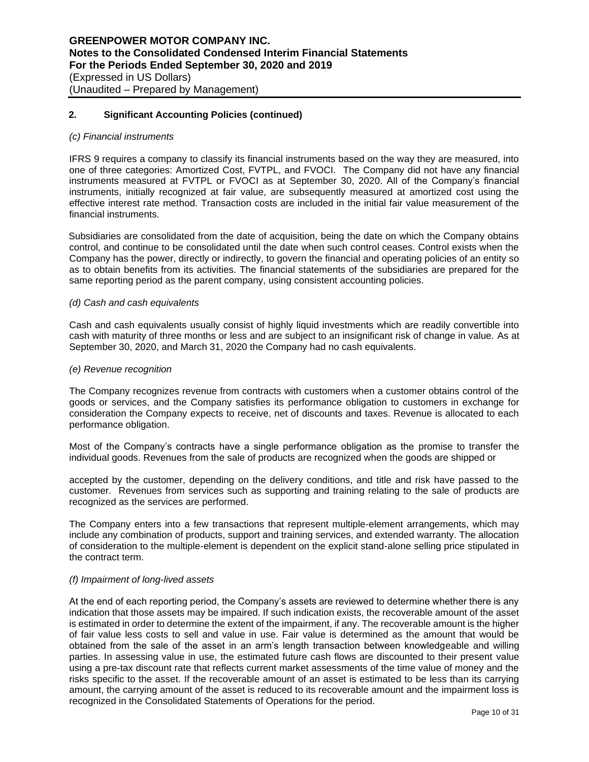#### *(c) Financial instruments*

IFRS 9 requires a company to classify its financial instruments based on the way they are measured, into one of three categories: Amortized Cost, FVTPL, and FVOCI. The Company did not have any financial instruments measured at FVTPL or FVOCI as at September 30, 2020. All of the Company's financial instruments, initially recognized at fair value, are subsequently measured at amortized cost using the effective interest rate method. Transaction costs are included in the initial fair value measurement of the financial instruments.

Subsidiaries are consolidated from the date of acquisition, being the date on which the Company obtains control, and continue to be consolidated until the date when such control ceases. Control exists when the Company has the power, directly or indirectly, to govern the financial and operating policies of an entity so as to obtain benefits from its activities. The financial statements of the subsidiaries are prepared for the same reporting period as the parent company, using consistent accounting policies.

#### *(d) Cash and cash equivalents*

Cash and cash equivalents usually consist of highly liquid investments which are readily convertible into cash with maturity of three months or less and are subject to an insignificant risk of change in value. As at September 30, 2020, and March 31, 2020 the Company had no cash equivalents.

#### *(e) Revenue recognition*

The Company recognizes revenue from contracts with customers when a customer obtains control of the goods or services, and the Company satisfies its performance obligation to customers in exchange for consideration the Company expects to receive, net of discounts and taxes. Revenue is allocated to each performance obligation.

Most of the Company's contracts have a single performance obligation as the promise to transfer the individual goods. Revenues from the sale of products are recognized when the goods are shipped or

accepted by the customer, depending on the delivery conditions, and title and risk have passed to the customer. Revenues from services such as supporting and training relating to the sale of products are recognized as the services are performed.

The Company enters into a few transactions that represent multiple-element arrangements, which may include any combination of products, support and training services, and extended warranty. The allocation of consideration to the multiple-element is dependent on the explicit stand-alone selling price stipulated in the contract term.

## *(f) Impairment of long-lived assets*

At the end of each reporting period, the Company's assets are reviewed to determine whether there is any indication that those assets may be impaired. If such indication exists, the recoverable amount of the asset is estimated in order to determine the extent of the impairment, if any. The recoverable amount is the higher of fair value less costs to sell and value in use. Fair value is determined as the amount that would be obtained from the sale of the asset in an arm's length transaction between knowledgeable and willing parties. In assessing value in use, the estimated future cash flows are discounted to their present value using a pre-tax discount rate that reflects current market assessments of the time value of money and the risks specific to the asset. If the recoverable amount of an asset is estimated to be less than its carrying amount, the carrying amount of the asset is reduced to its recoverable amount and the impairment loss is recognized in the Consolidated Statements of Operations for the period.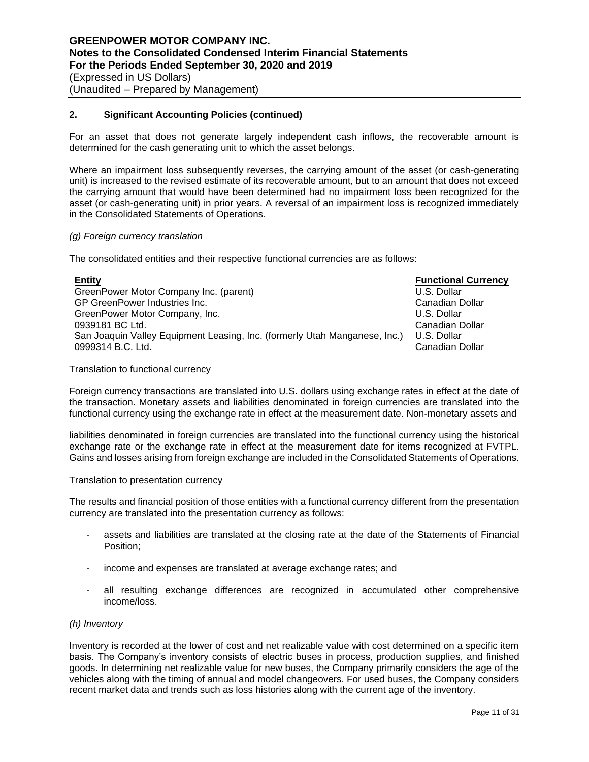For an asset that does not generate largely independent cash inflows, the recoverable amount is determined for the cash generating unit to which the asset belongs.

Where an impairment loss subsequently reverses, the carrying amount of the asset (or cash-generating unit) is increased to the revised estimate of its recoverable amount, but to an amount that does not exceed the carrying amount that would have been determined had no impairment loss been recognized for the asset (or cash-generating unit) in prior years. A reversal of an impairment loss is recognized immediately in the Consolidated Statements of Operations.

#### *(g) Foreign currency translation*

The consolidated entities and their respective functional currencies are as follows:

| <b>Entity</b>                                                              | <b>Functional Currency</b> |
|----------------------------------------------------------------------------|----------------------------|
| GreenPower Motor Company Inc. (parent)                                     | U.S. Dollar                |
| GP GreenPower Industries Inc.                                              | Canadian Dollar            |
| GreenPower Motor Company, Inc.                                             | U.S. Dollar                |
| 0939181 BC Ltd.                                                            | Canadian Dollar            |
| San Joaquin Valley Equipment Leasing, Inc. (formerly Utah Manganese, Inc.) | U.S. Dollar                |
| 0999314 B.C. Ltd.                                                          | Canadian Dollar            |
|                                                                            |                            |

Translation to functional currency

Foreign currency transactions are translated into U.S. dollars using exchange rates in effect at the date of the transaction. Monetary assets and liabilities denominated in foreign currencies are translated into the functional currency using the exchange rate in effect at the measurement date. Non-monetary assets and

liabilities denominated in foreign currencies are translated into the functional currency using the historical exchange rate or the exchange rate in effect at the measurement date for items recognized at FVTPL. Gains and losses arising from foreign exchange are included in the Consolidated Statements of Operations.

Translation to presentation currency

The results and financial position of those entities with a functional currency different from the presentation currency are translated into the presentation currency as follows:

- assets and liabilities are translated at the closing rate at the date of the Statements of Financial Position;
- income and expenses are translated at average exchange rates; and
- all resulting exchange differences are recognized in accumulated other comprehensive income/loss.

## *(h) Inventory*

Inventory is recorded at the lower of cost and net realizable value with cost determined on a specific item basis. The Company's inventory consists of electric buses in process, production supplies, and finished goods. In determining net realizable value for new buses, the Company primarily considers the age of the vehicles along with the timing of annual and model changeovers. For used buses, the Company considers recent market data and trends such as loss histories along with the current age of the inventory.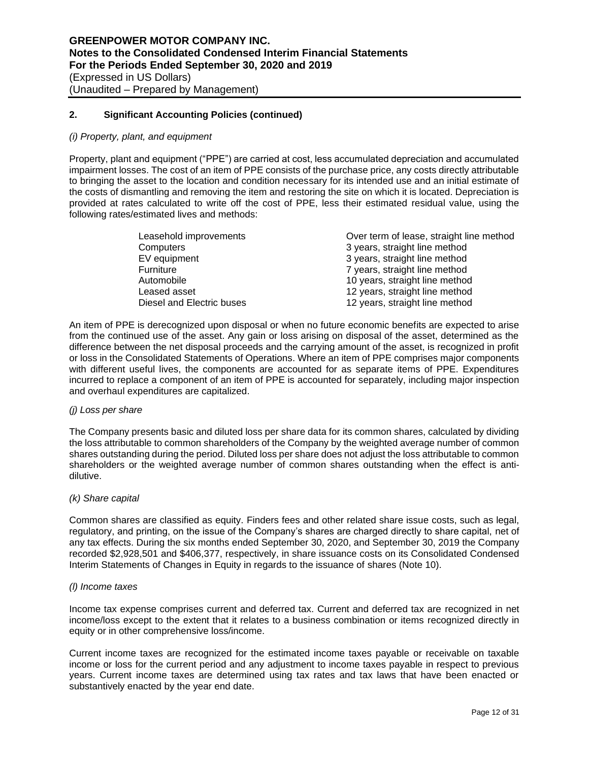#### *(i) Property, plant, and equipment*

Property, plant and equipment ("PPE") are carried at cost, less accumulated depreciation and accumulated impairment losses. The cost of an item of PPE consists of the purchase price, any costs directly attributable to bringing the asset to the location and condition necessary for its intended use and an initial estimate of the costs of dismantling and removing the item and restoring the site on which it is located. Depreciation is provided at rates calculated to write off the cost of PPE, less their estimated residual value, using the following rates/estimated lives and methods:

| Leasehold improvements    | Over term of lease, straight line method |
|---------------------------|------------------------------------------|
| Computers                 | 3 years, straight line method            |
| EV equipment              | 3 years, straight line method            |
| Furniture                 | 7 years, straight line method            |
| Automobile                | 10 years, straight line method           |
| Leased asset              | 12 years, straight line method           |
| Diesel and Electric buses | 12 years, straight line method           |

An item of PPE is derecognized upon disposal or when no future economic benefits are expected to arise from the continued use of the asset. Any gain or loss arising on disposal of the asset, determined as the difference between the net disposal proceeds and the carrying amount of the asset, is recognized in profit or loss in the Consolidated Statements of Operations. Where an item of PPE comprises major components with different useful lives, the components are accounted for as separate items of PPE. Expenditures incurred to replace a component of an item of PPE is accounted for separately, including major inspection and overhaul expenditures are capitalized.

#### *(j) Loss per share*

The Company presents basic and diluted loss per share data for its common shares, calculated by dividing the loss attributable to common shareholders of the Company by the weighted average number of common shares outstanding during the period. Diluted loss per share does not adjust the loss attributable to common shareholders or the weighted average number of common shares outstanding when the effect is antidilutive.

## *(k) Share capital*

Common shares are classified as equity. Finders fees and other related share issue costs, such as legal, regulatory, and printing, on the issue of the Company's shares are charged directly to share capital, net of any tax effects. During the six months ended September 30, 2020, and September 30, 2019 the Company recorded \$2,928,501 and \$406,377, respectively, in share issuance costs on its Consolidated Condensed Interim Statements of Changes in Equity in regards to the issuance of shares (Note 10).

#### *(l) Income taxes*

Income tax expense comprises current and deferred tax. Current and deferred tax are recognized in net income/loss except to the extent that it relates to a business combination or items recognized directly in equity or in other comprehensive loss/income.

Current income taxes are recognized for the estimated income taxes payable or receivable on taxable income or loss for the current period and any adjustment to income taxes payable in respect to previous years. Current income taxes are determined using tax rates and tax laws that have been enacted or substantively enacted by the year end date.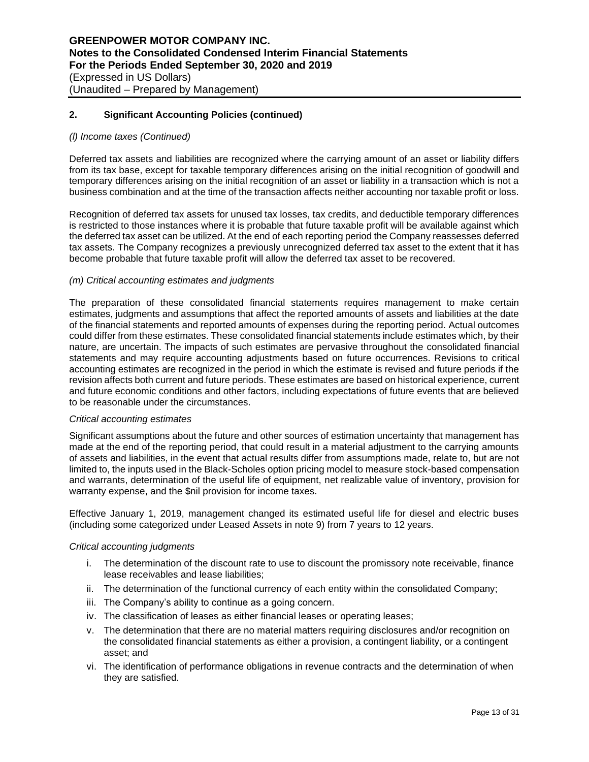## *(l) Income taxes (Continued)*

Deferred tax assets and liabilities are recognized where the carrying amount of an asset or liability differs from its tax base, except for taxable temporary differences arising on the initial recognition of goodwill and temporary differences arising on the initial recognition of an asset or liability in a transaction which is not a business combination and at the time of the transaction affects neither accounting nor taxable profit or loss.

Recognition of deferred tax assets for unused tax losses, tax credits, and deductible temporary differences is restricted to those instances where it is probable that future taxable profit will be available against which the deferred tax asset can be utilized. At the end of each reporting period the Company reassesses deferred tax assets. The Company recognizes a previously unrecognized deferred tax asset to the extent that it has become probable that future taxable profit will allow the deferred tax asset to be recovered.

#### *(m) Critical accounting estimates and judgments*

The preparation of these consolidated financial statements requires management to make certain estimates, judgments and assumptions that affect the reported amounts of assets and liabilities at the date of the financial statements and reported amounts of expenses during the reporting period. Actual outcomes could differ from these estimates. These consolidated financial statements include estimates which, by their nature, are uncertain. The impacts of such estimates are pervasive throughout the consolidated financial statements and may require accounting adjustments based on future occurrences. Revisions to critical accounting estimates are recognized in the period in which the estimate is revised and future periods if the revision affects both current and future periods. These estimates are based on historical experience, current and future economic conditions and other factors, including expectations of future events that are believed to be reasonable under the circumstances.

#### *Critical accounting estimates*

Significant assumptions about the future and other sources of estimation uncertainty that management has made at the end of the reporting period, that could result in a material adjustment to the carrying amounts of assets and liabilities, in the event that actual results differ from assumptions made, relate to, but are not limited to, the inputs used in the Black-Scholes option pricing model to measure stock-based compensation and warrants, determination of the useful life of equipment, net realizable value of inventory, provision for warranty expense, and the \$nil provision for income taxes.

Effective January 1, 2019, management changed its estimated useful life for diesel and electric buses (including some categorized under Leased Assets in note 9) from 7 years to 12 years.

#### *Critical accounting judgments*

- i. The determination of the discount rate to use to discount the promissory note receivable, finance lease receivables and lease liabilities;
- ii. The determination of the functional currency of each entity within the consolidated Company;
- iii. The Company's ability to continue as a going concern.
- iv. The classification of leases as either financial leases or operating leases;
- v. The determination that there are no material matters requiring disclosures and/or recognition on the consolidated financial statements as either a provision, a contingent liability, or a contingent asset; and
- vi. The identification of performance obligations in revenue contracts and the determination of when they are satisfied.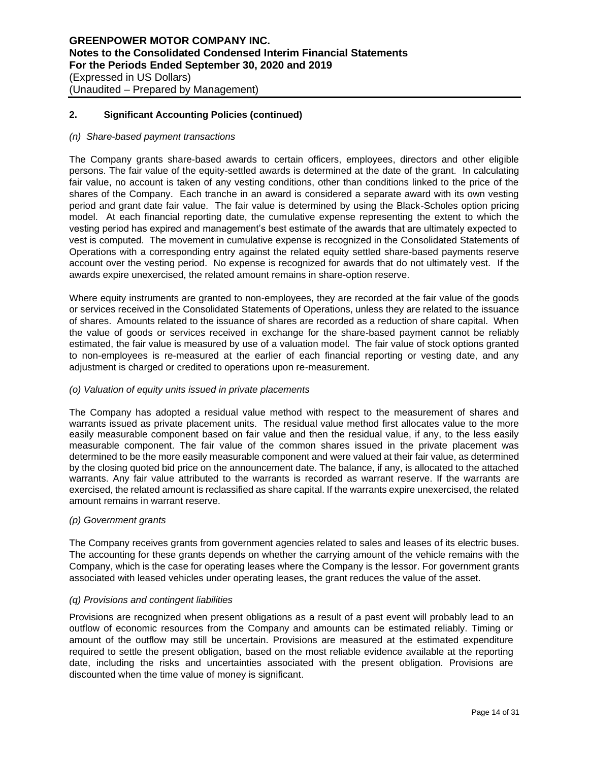#### *(n) Share-based payment transactions*

The Company grants share-based awards to certain officers, employees, directors and other eligible persons. The fair value of the equity-settled awards is determined at the date of the grant. In calculating fair value, no account is taken of any vesting conditions, other than conditions linked to the price of the shares of the Company. Each tranche in an award is considered a separate award with its own vesting period and grant date fair value. The fair value is determined by using the Black-Scholes option pricing model. At each financial reporting date, the cumulative expense representing the extent to which the vesting period has expired and management's best estimate of the awards that are ultimately expected to vest is computed. The movement in cumulative expense is recognized in the Consolidated Statements of Operations with a corresponding entry against the related equity settled share-based payments reserve account over the vesting period. No expense is recognized for awards that do not ultimately vest. If the awards expire unexercised, the related amount remains in share-option reserve.

Where equity instruments are granted to non-employees, they are recorded at the fair value of the goods or services received in the Consolidated Statements of Operations, unless they are related to the issuance of shares. Amounts related to the issuance of shares are recorded as a reduction of share capital. When the value of goods or services received in exchange for the share-based payment cannot be reliably estimated, the fair value is measured by use of a valuation model. The fair value of stock options granted to non-employees is re-measured at the earlier of each financial reporting or vesting date, and any adjustment is charged or credited to operations upon re-measurement.

## *(o) Valuation of equity units issued in private placements*

The Company has adopted a residual value method with respect to the measurement of shares and warrants issued as private placement units. The residual value method first allocates value to the more easily measurable component based on fair value and then the residual value, if any, to the less easily measurable component. The fair value of the common shares issued in the private placement was determined to be the more easily measurable component and were valued at their fair value, as determined by the closing quoted bid price on the announcement date. The balance, if any, is allocated to the attached warrants. Any fair value attributed to the warrants is recorded as warrant reserve. If the warrants are exercised, the related amount is reclassified as share capital. If the warrants expire unexercised, the related amount remains in warrant reserve.

#### *(p) Government grants*

The Company receives grants from government agencies related to sales and leases of its electric buses. The accounting for these grants depends on whether the carrying amount of the vehicle remains with the Company, which is the case for operating leases where the Company is the lessor. For government grants associated with leased vehicles under operating leases, the grant reduces the value of the asset.

## *(q) Provisions and contingent liabilities*

Provisions are recognized when present obligations as a result of a past event will probably lead to an outflow of economic resources from the Company and amounts can be estimated reliably. Timing or amount of the outflow may still be uncertain. Provisions are measured at the estimated expenditure required to settle the present obligation, based on the most reliable evidence available at the reporting date, including the risks and uncertainties associated with the present obligation. Provisions are discounted when the time value of money is significant.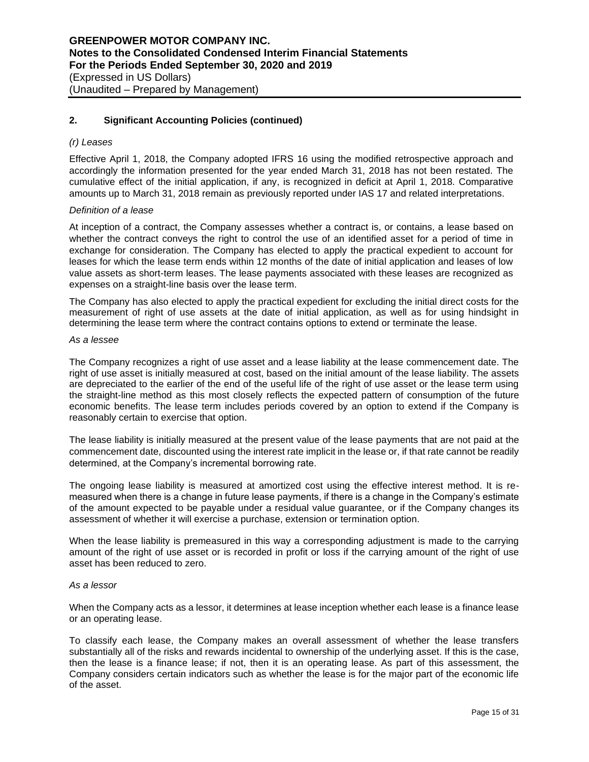## *(r) Leases*

Effective April 1, 2018, the Company adopted IFRS 16 using the modified retrospective approach and accordingly the information presented for the year ended March 31, 2018 has not been restated. The cumulative effect of the initial application, if any, is recognized in deficit at April 1, 2018. Comparative amounts up to March 31, 2018 remain as previously reported under IAS 17 and related interpretations.

#### *Definition of a lease*

At inception of a contract, the Company assesses whether a contract is, or contains, a lease based on whether the contract conveys the right to control the use of an identified asset for a period of time in exchange for consideration. The Company has elected to apply the practical expedient to account for leases for which the lease term ends within 12 months of the date of initial application and leases of low value assets as short-term leases. The lease payments associated with these leases are recognized as expenses on a straight-line basis over the lease term.

The Company has also elected to apply the practical expedient for excluding the initial direct costs for the measurement of right of use assets at the date of initial application, as well as for using hindsight in determining the lease term where the contract contains options to extend or terminate the lease.

#### *As a lessee*

The Company recognizes a right of use asset and a lease liability at the lease commencement date. The right of use asset is initially measured at cost, based on the initial amount of the lease liability. The assets are depreciated to the earlier of the end of the useful life of the right of use asset or the lease term using the straight-line method as this most closely reflects the expected pattern of consumption of the future economic benefits. The lease term includes periods covered by an option to extend if the Company is reasonably certain to exercise that option.

The lease liability is initially measured at the present value of the lease payments that are not paid at the commencement date, discounted using the interest rate implicit in the lease or, if that rate cannot be readily determined, at the Company's incremental borrowing rate.

The ongoing lease liability is measured at amortized cost using the effective interest method. It is remeasured when there is a change in future lease payments, if there is a change in the Company's estimate of the amount expected to be payable under a residual value guarantee, or if the Company changes its assessment of whether it will exercise a purchase, extension or termination option.

When the lease liability is premeasured in this way a corresponding adjustment is made to the carrying amount of the right of use asset or is recorded in profit or loss if the carrying amount of the right of use asset has been reduced to zero.

#### *As a lessor*

When the Company acts as a lessor, it determines at lease inception whether each lease is a finance lease or an operating lease.

To classify each lease, the Company makes an overall assessment of whether the lease transfers substantially all of the risks and rewards incidental to ownership of the underlying asset. If this is the case, then the lease is a finance lease; if not, then it is an operating lease. As part of this assessment, the Company considers certain indicators such as whether the lease is for the major part of the economic life of the asset.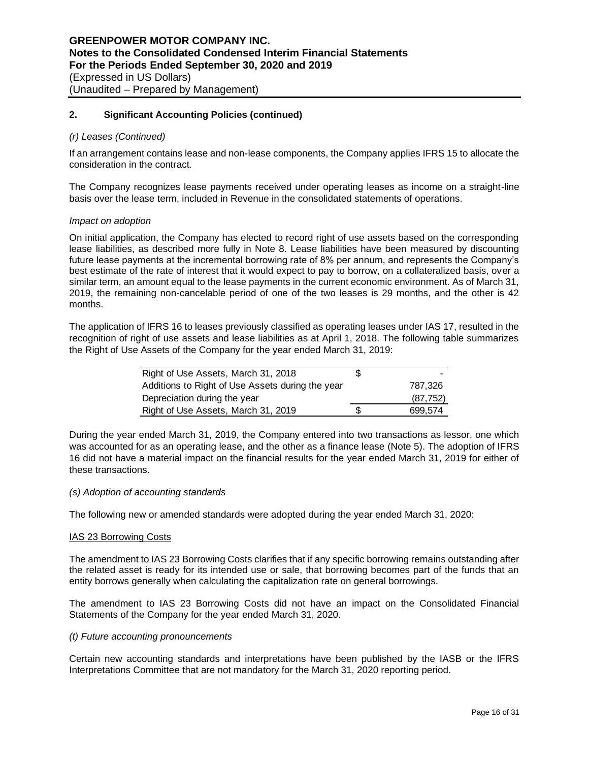#### *(r) Leases (Continued)*

If an arrangement contains lease and non-lease components, the Company applies IFRS 15 to allocate the consideration in the contract.

The Company recognizes lease payments received under operating leases as income on a straight-line basis over the lease term, included in Revenue in the consolidated statements of operations.

#### *Impact on adoption*

On initial application, the Company has elected to record right of use assets based on the corresponding lease liabilities, as described more fully in Note 8. Lease liabilities have been measured by discounting future lease payments at the incremental borrowing rate of 8% per annum, and represents the Company's best estimate of the rate of interest that it would expect to pay to borrow, on a collateralized basis, over a similar term, an amount equal to the lease payments in the current economic environment. As of March 31, 2019, the remaining non-cancelable period of one of the two leases is 29 months, and the other is 42 months.

The application of IFRS 16 to leases previously classified as operating leases under IAS 17, resulted in the recognition of right of use assets and lease liabilities as at April 1, 2018. The following table summarizes the Right of Use Assets of the Company for the year ended March 31, 2019:

| Right of Use Assets, March 31, 2018              |   |           |
|--------------------------------------------------|---|-----------|
| Additions to Right of Use Assets during the year |   | 787.326   |
| Depreciation during the year                     |   | (87, 752) |
| Right of Use Assets, March 31, 2019              | S | 699.574   |

During the year ended March 31, 2019, the Company entered into two transactions as lessor, one which was accounted for as an operating lease, and the other as a finance lease (Note 5). The adoption of IFRS 16 did not have a material impact on the financial results for the year ended March 31, 2019 for either of these transactions.

## *(s) Adoption of accounting standards*

The following new or amended standards were adopted during the year ended March 31, 2020:

#### IAS 23 Borrowing Costs

The amendment to IAS 23 Borrowing Costs clarifies that if any specific borrowing remains outstanding after the related asset is ready for its intended use or sale, that borrowing becomes part of the funds that an entity borrows generally when calculating the capitalization rate on general borrowings.

The amendment to IAS 23 Borrowing Costs did not have an impact on the Consolidated Financial Statements of the Company for the year ended March 31, 2020.

#### *(t) Future accounting pronouncements*

Certain new accounting standards and interpretations have been published by the IASB or the IFRS Interpretations Committee that are not mandatory for the March 31, 2020 reporting period.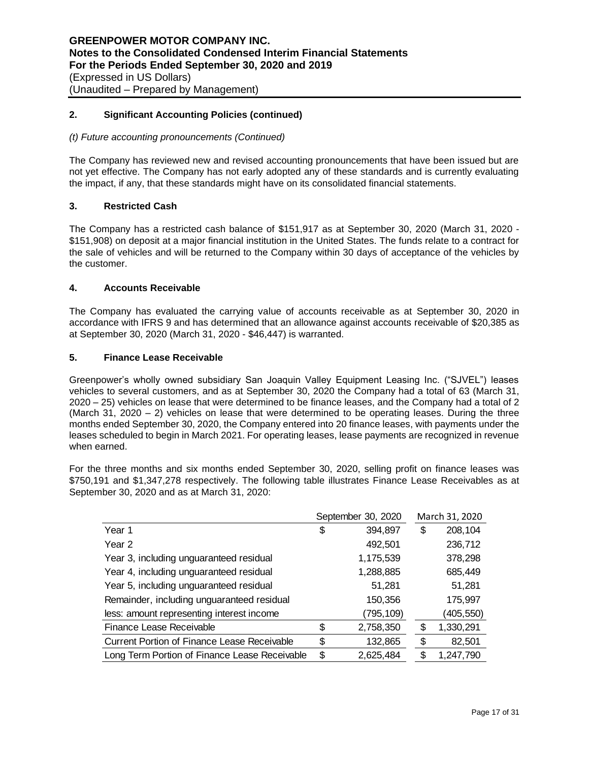## *(t) Future accounting pronouncements (Continued)*

The Company has reviewed new and revised accounting pronouncements that have been issued but are not yet effective. The Company has not early adopted any of these standards and is currently evaluating the impact, if any, that these standards might have on its consolidated financial statements.

## **3. Restricted Cash**

The Company has a restricted cash balance of \$151,917 as at September 30, 2020 (March 31, 2020 - \$151,908) on deposit at a major financial institution in the United States. The funds relate to a contract for the sale of vehicles and will be returned to the Company within 30 days of acceptance of the vehicles by the customer.

#### **4. Accounts Receivable**

The Company has evaluated the carrying value of accounts receivable as at September 30, 2020 in accordance with IFRS 9 and has determined that an allowance against accounts receivable of \$20,385 as at September 30, 2020 (March 31, 2020 - \$46,447) is warranted.

#### **5. Finance Lease Receivable**

Greenpower's wholly owned subsidiary San Joaquin Valley Equipment Leasing Inc. ("SJVEL") leases vehicles to several customers, and as at September 30, 2020 the Company had a total of 63 (March 31, 2020 – 25) vehicles on lease that were determined to be finance leases, and the Company had a total of 2 (March 31, 2020 – 2) vehicles on lease that were determined to be operating leases. During the three months ended September 30, 2020, the Company entered into 20 finance leases, with payments under the leases scheduled to begin in March 2021. For operating leases, lease payments are recognized in revenue when earned.

For the three months and six months ended September 30, 2020, selling profit on finance leases was \$750,191 and \$1,347,278 respectively. The following table illustrates Finance Lease Receivables as at September 30, 2020 and as at March 31, 2020:

|                                                    | September 30, 2020 |           | March 31, 2020  |
|----------------------------------------------------|--------------------|-----------|-----------------|
| Year 1                                             | \$                 | 394,897   | \$<br>208,104   |
| Year 2                                             |                    | 492,501   | 236,712         |
| Year 3, including unguaranteed residual            |                    | 1,175,539 | 378,298         |
| Year 4, including unguaranteed residual            |                    | 1,288,885 | 685,449         |
| Year 5, including unguaranteed residual            |                    | 51,281    | 51,281          |
| Remainder, including unguaranteed residual         |                    | 150,356   | 175,997         |
| less: amount representing interest income          |                    | (795,109) | (405,550)       |
| Finance Lease Receivable                           | \$                 | 2,758,350 | \$<br>1,330,291 |
| <b>Current Portion of Finance Lease Receivable</b> | \$                 | 132,865   | \$<br>82,501    |
| Long Term Portion of Finance Lease Receivable      | \$                 | 2,625,484 | \$<br>1,247,790 |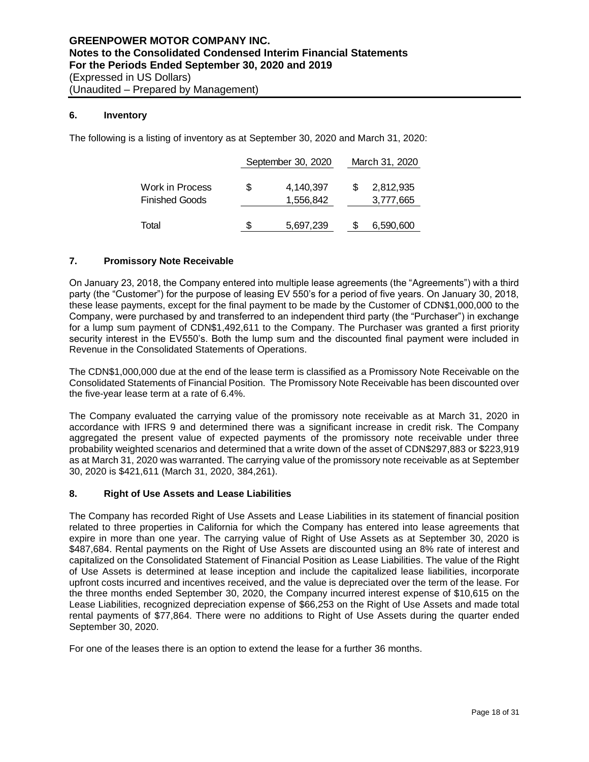## **6. Inventory**

The following is a listing of inventory as at September 30, 2020 and March 31, 2020:

|                                          |    | September 30, 2020     | March 31, 2020         |
|------------------------------------------|----|------------------------|------------------------|
| Work in Process<br><b>Finished Goods</b> | S  | 4,140,397<br>1,556,842 | 2,812,935<br>3,777,665 |
| Total                                    | S. | 5,697,239              | 6,590,600              |

## **7. Promissory Note Receivable**

On January 23, 2018, the Company entered into multiple lease agreements (the "Agreements") with a third party (the "Customer") for the purpose of leasing EV 550's for a period of five years. On January 30, 2018, these lease payments, except for the final payment to be made by the Customer of CDN\$1,000,000 to the Company, were purchased by and transferred to an independent third party (the "Purchaser") in exchange for a lump sum payment of CDN\$1,492,611 to the Company. The Purchaser was granted a first priority security interest in the EV550's. Both the lump sum and the discounted final payment were included in Revenue in the Consolidated Statements of Operations.

The CDN\$1,000,000 due at the end of the lease term is classified as a Promissory Note Receivable on the Consolidated Statements of Financial Position. The Promissory Note Receivable has been discounted over the five-year lease term at a rate of 6.4%.

The Company evaluated the carrying value of the promissory note receivable as at March 31, 2020 in accordance with IFRS 9 and determined there was a significant increase in credit risk. The Company aggregated the present value of expected payments of the promissory note receivable under three probability weighted scenarios and determined that a write down of the asset of CDN\$297,883 or \$223,919 as at March 31, 2020 was warranted. The carrying value of the promissory note receivable as at September 30, 2020 is \$421,611 (March 31, 2020, 384,261).

#### **8. Right of Use Assets and Lease Liabilities**

The Company has recorded Right of Use Assets and Lease Liabilities in its statement of financial position related to three properties in California for which the Company has entered into lease agreements that expire in more than one year. The carrying value of Right of Use Assets as at September 30, 2020 is \$487,684. Rental payments on the Right of Use Assets are discounted using an 8% rate of interest and capitalized on the Consolidated Statement of Financial Position as Lease Liabilities. The value of the Right of Use Assets is determined at lease inception and include the capitalized lease liabilities, incorporate upfront costs incurred and incentives received, and the value is depreciated over the term of the lease. For the three months ended September 30, 2020, the Company incurred interest expense of \$10,615 on the Lease Liabilities, recognized depreciation expense of \$66,253 on the Right of Use Assets and made total rental payments of \$77,864. There were no additions to Right of Use Assets during the quarter ended September 30, 2020.

For one of the leases there is an option to extend the lease for a further 36 months.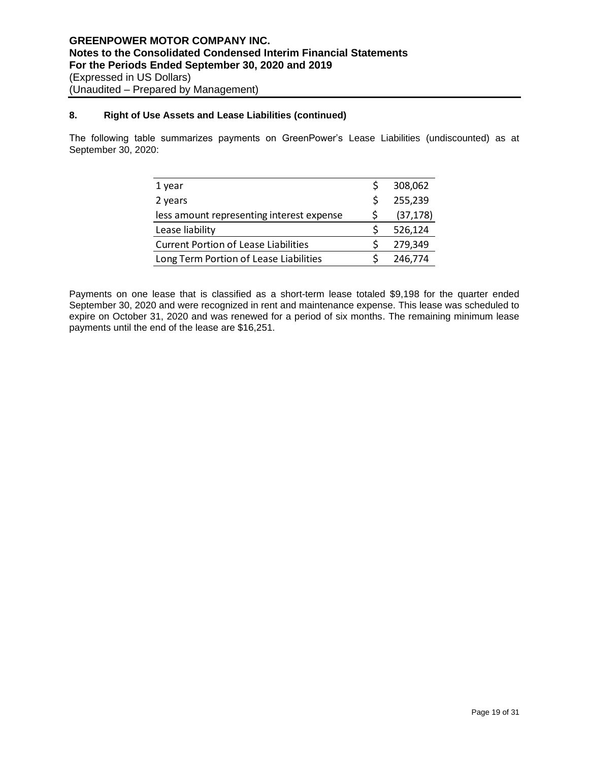## **8. Right of Use Assets and Lease Liabilities (continued)**

The following table summarizes payments on GreenPower's Lease Liabilities (undiscounted) as at September 30, 2020:

| 1 year                                      |   | 308,062   |
|---------------------------------------------|---|-----------|
| 2 years                                     | Ŝ | 255,239   |
| less amount representing interest expense   |   | (37, 178) |
| Lease liability                             |   | 526,124   |
| <b>Current Portion of Lease Liabilities</b> |   | 279,349   |
| Long Term Portion of Lease Liabilities      |   | 246,774   |

Payments on one lease that is classified as a short-term lease totaled \$9,198 for the quarter ended September 30, 2020 and were recognized in rent and maintenance expense. This lease was scheduled to expire on October 31, 2020 and was renewed for a period of six months. The remaining minimum lease payments until the end of the lease are \$16,251.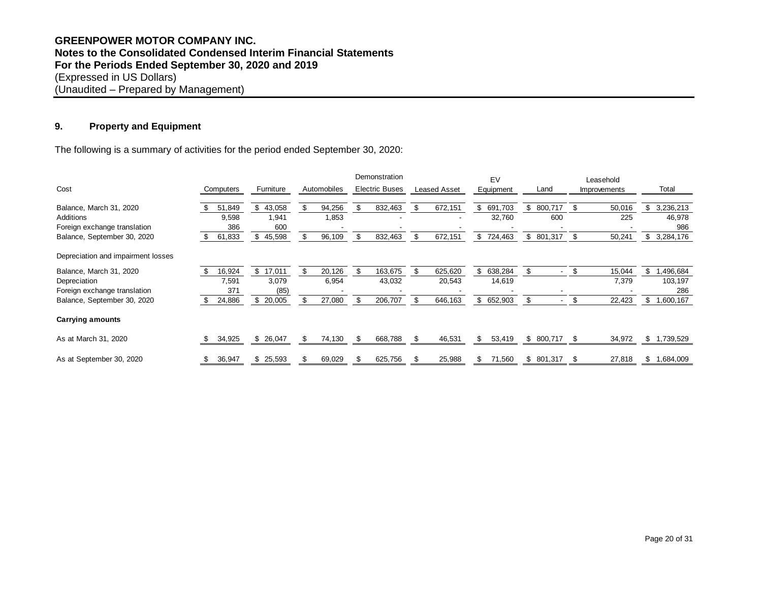## **GREENPOWER MOTOR COMPANY INC. Notes to the Consolidated Condensed Interim Financial Statements For the Periods Ended September 30, 2020 and 2019** (Expressed in US Dollars) (Unaudited – Prepared by Management)

## **9. Property and Equipment**

| ະ.<br><b>Property and Equipment</b>                                               |               |              |    |             |    |                       |      |                     |                  |                                |    |              |                 |
|-----------------------------------------------------------------------------------|---------------|--------------|----|-------------|----|-----------------------|------|---------------------|------------------|--------------------------------|----|--------------|-----------------|
| The following is a summary of activities for the period ended September 30, 2020: |               |              |    |             |    |                       |      |                     |                  |                                |    |              |                 |
|                                                                                   |               |              |    |             |    | Demonstration         |      |                     | EV               |                                |    | Leasehold    |                 |
| Cost                                                                              | Computers     | Furniture    |    | Automobiles |    | <b>Electric Buses</b> |      | <b>Leased Asset</b> | <b>Equipment</b> | Land                           |    | Improvements | Total           |
| Balance, March 31, 2020                                                           | 51,849        | 43,058<br>\$ | \$ | 94,256      | \$ | 832,463               | \$   | 672,151             | 691,703<br>\$    | 800,717<br>\$                  |    | 50,016       | \$<br>3,236,213 |
| Additions                                                                         | 9,598         | 1,941        |    | 1,853       |    |                       |      |                     | 32,760           | 600                            |    | 225          | 46,978          |
| Foreign exchange translation                                                      | 386           | 600          |    |             |    |                       |      |                     |                  |                                |    |              | 986             |
| Balance, September 30, 2020                                                       | 61,833<br>\$. | 45,598<br>\$ |    | 96,109      | \$ | 832,463               | \$   | 672,151             | \$<br>724,463    | \$801,317                      | \$ | 50,241       | \$<br>3,284,176 |
| Depreciation and impairment losses                                                |               |              |    |             |    |                       |      |                     |                  |                                |    |              |                 |
| Balance, March 31, 2020                                                           | 16,924        | 17,011<br>\$ | \$ | 20,126      | \$ | 163,675               | \$.  | 625,620             | 638,284<br>\$    | \$<br>$\overline{\phantom{a}}$ | \$ | 15,044       | \$<br>1,496,684 |
| Depreciation                                                                      | 7,591         | 3,079        |    | 6,954       |    | 43,032                |      | 20,543              | 14,619           |                                |    | 7,379        | 103,197         |
| Foreign exchange translation                                                      | 371           | (85)         |    |             |    |                       |      |                     |                  |                                |    |              | 286             |
| Balance, September 30, 2020                                                       | 24,886        | 20,005<br>\$ |    | 27,080      | \$ | 206,707               | \$   | 646,163             | 652,903<br>\$    | \$<br>$\sim$                   | \$ | 22,423       | \$<br>1,600,167 |
| <b>Carrying amounts</b>                                                           |               |              |    |             |    |                       |      |                     |                  |                                |    |              |                 |
| As at March 31, 2020                                                              | 34,925        | \$26,047     | S  | 74,130      | \$ | 668,788               | - \$ | 46,531              | \$<br>53,419     | \$<br>800,717 \$               |    | 34,972       | \$<br>1,739,529 |
| As at September 30, 2020                                                          | 36,947<br>\$  | \$25,593     | æ. | 69,029      | S  | 625,756               | S    | 25,988              | 71,560<br>\$.    | \$801,317                      | S  | 27,818       | \$<br>1,684,009 |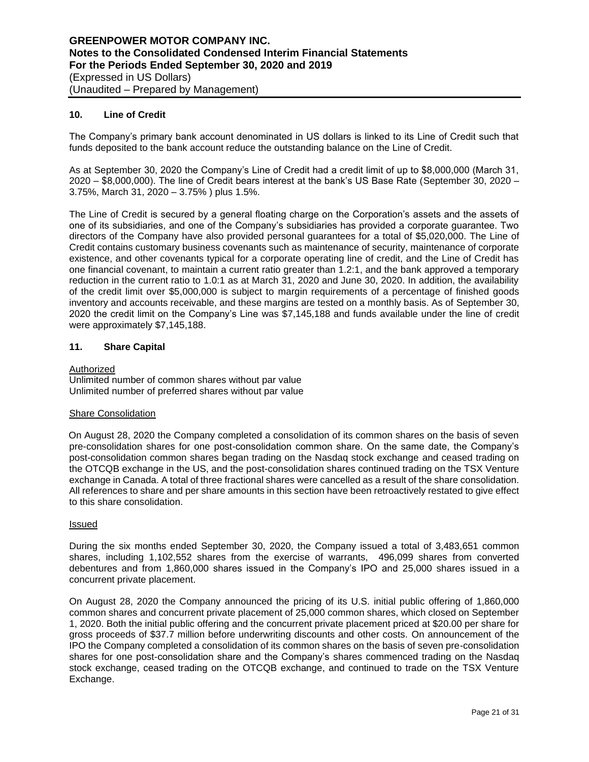## **10. Line of Credit**

The Company's primary bank account denominated in US dollars is linked to its Line of Credit such that funds deposited to the bank account reduce the outstanding balance on the Line of Credit.

As at September 30, 2020 the Company's Line of Credit had a credit limit of up to \$8,000,000 (March 31, 2020 – \$8,000,000). The line of Credit bears interest at the bank's US Base Rate (September 30, 2020 – 3.75%, March 31, 2020 – 3.75% ) plus 1.5%.

The Line of Credit is secured by a general floating charge on the Corporation's assets and the assets of one of its subsidiaries, and one of the Company's subsidiaries has provided a corporate guarantee. Two directors of the Company have also provided personal guarantees for a total of \$5,020,000. The Line of Credit contains customary business covenants such as maintenance of security, maintenance of corporate existence, and other covenants typical for a corporate operating line of credit, and the Line of Credit has one financial covenant, to maintain a current ratio greater than 1.2:1, and the bank approved a temporary reduction in the current ratio to 1.0:1 as at March 31, 2020 and June 30, 2020. In addition, the availability of the credit limit over \$5,000,000 is subject to margin requirements of a percentage of finished goods inventory and accounts receivable, and these margins are tested on a monthly basis. As of September 30, 2020 the credit limit on the Company's Line was \$7,145,188 and funds available under the line of credit were approximately \$7,145,188.

## **11. Share Capital**

#### Authorized

Unlimited number of common shares without par value Unlimited number of preferred shares without par value

#### Share Consolidation

On August 28, 2020 the Company completed a consolidation of its common shares on the basis of seven pre-consolidation shares for one post-consolidation common share. On the same date, the Company's post-consolidation common shares began trading on the Nasdaq stock exchange and ceased trading on the OTCQB exchange in the US, and the post-consolidation shares continued trading on the TSX Venture exchange in Canada. A total of three fractional shares were cancelled as a result of the share consolidation. All references to share and per share amounts in this section have been retroactively restated to give effect to this share consolidation.

#### **Issued**

During the six months ended September 30, 2020, the Company issued a total of 3,483,651 common shares, including 1,102,552 shares from the exercise of warrants, 496,099 shares from converted debentures and from 1,860,000 shares issued in the Company's IPO and 25,000 shares issued in a concurrent private placement.

On August 28, 2020 the Company announced the pricing of its U.S. initial public offering of 1,860,000 common shares and concurrent private placement of 25,000 common shares, which closed on September 1, 2020. Both the initial public offering and the concurrent private placement priced at \$20.00 per share for gross proceeds of \$37.7 million before underwriting discounts and other costs. On announcement of the IPO the Company completed a consolidation of its common shares on the basis of seven pre-consolidation shares for one post-consolidation share and the Company's shares commenced trading on the Nasdaq stock exchange, ceased trading on the OTCQB exchange, and continued to trade on the TSX Venture Exchange.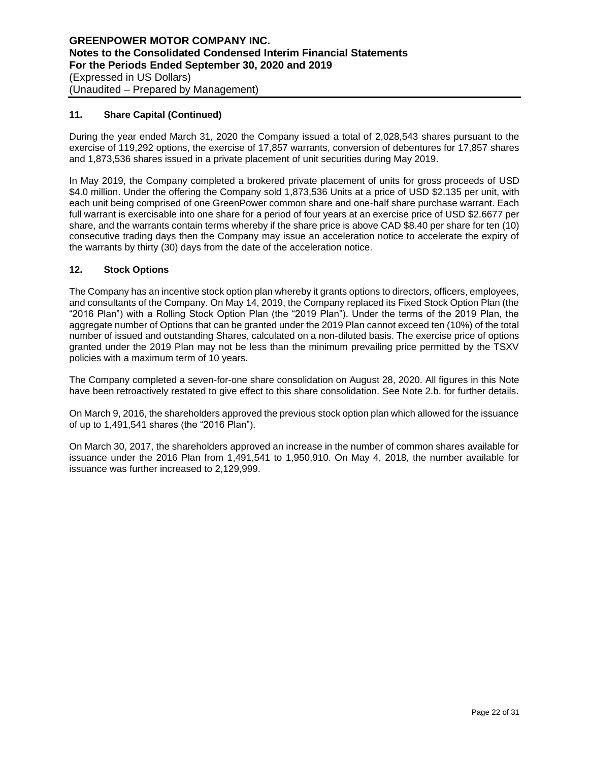## **11. Share Capital (Continued)**

During the year ended March 31, 2020 the Company issued a total of 2,028,543 shares pursuant to the exercise of 119,292 options, the exercise of 17,857 warrants, conversion of debentures for 17,857 shares and 1,873,536 shares issued in a private placement of unit securities during May 2019.

In May 2019, the Company completed a brokered private placement of units for gross proceeds of USD \$4.0 million. Under the offering the Company sold 1,873,536 Units at a price of USD \$2.135 per unit, with each unit being comprised of one GreenPower common share and one-half share purchase warrant. Each full warrant is exercisable into one share for a period of four years at an exercise price of USD \$2.6677 per share, and the warrants contain terms whereby if the share price is above CAD \$8.40 per share for ten (10) consecutive trading days then the Company may issue an acceleration notice to accelerate the expiry of the warrants by thirty (30) days from the date of the acceleration notice.

## **12. Stock Options**

The Company has an incentive stock option plan whereby it grants options to directors, officers, employees, and consultants of the Company. On May 14, 2019, the Company replaced its Fixed Stock Option Plan (the "2016 Plan") with a Rolling Stock Option Plan (the "2019 Plan"). Under the terms of the 2019 Plan, the aggregate number of Options that can be granted under the 2019 Plan cannot exceed ten (10%) of the total number of issued and outstanding Shares, calculated on a non-diluted basis. The exercise price of options granted under the 2019 Plan may not be less than the minimum prevailing price permitted by the TSXV policies with a maximum term of 10 years.

The Company completed a seven-for-one share consolidation on August 28, 2020. All figures in this Note have been retroactively restated to give effect to this share consolidation. See Note 2.b. for further details.

On March 9, 2016, the shareholders approved the previous stock option plan which allowed for the issuance of up to 1,491,541 shares (the "2016 Plan").

On March 30, 2017, the shareholders approved an increase in the number of common shares available for issuance under the 2016 Plan from 1,491,541 to 1,950,910. On May 4, 2018, the number available for issuance was further increased to 2,129,999.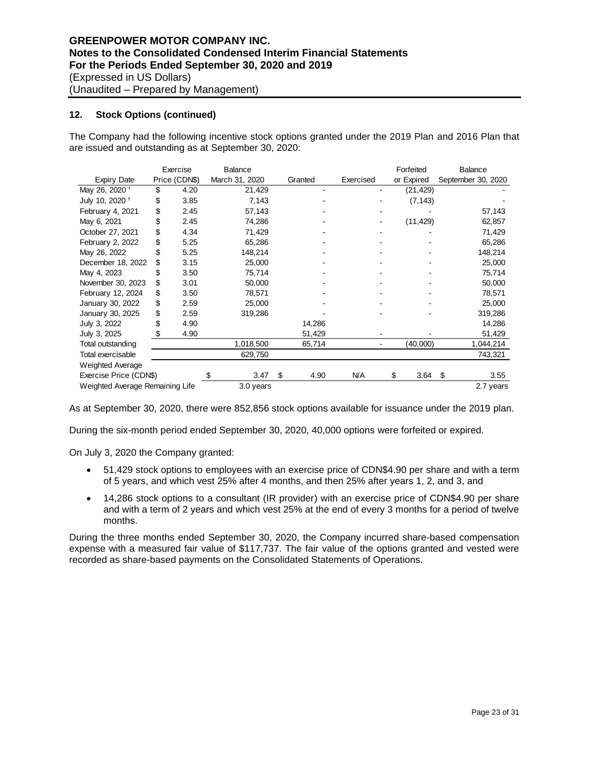## **12. Stock Options (continued)**

The Company had the following incentive stock options granted under the 2019 Plan and 2016 Plan that are issued and outstanding as at September 30, 2020:

|                                 |    | Exercise      | <b>Balance</b> |         |        |            | Forfeited  | <b>Balance</b> |                    |
|---------------------------------|----|---------------|----------------|---------|--------|------------|------------|----------------|--------------------|
| Expiry Date                     |    | Price (CDN\$) | March 31, 2020 | Granted |        | Exercised  | or Expired |                | September 30, 2020 |
| May 26, 2020 <sup>1</sup>       | \$ | 4.20          | 21,429         |         | ۰      |            | (21,429)   |                |                    |
| July 10, 2020 <sup>1</sup>      | \$ | 3.85          | 7,143          |         |        |            | (7, 143)   |                |                    |
| February 4, 2021                | \$ | 2.45          | 57,143         |         |        |            |            |                | 57,143             |
| May 6, 2021                     | \$ | 2.45          | 74,286         |         |        |            | (11, 429)  |                | 62,857             |
| October 27, 2021                | \$ | 4.34          | 71,429         |         |        |            |            |                | 71,429             |
| February 2, 2022                | \$ | 5.25          | 65,286         |         |        |            |            |                | 65,286             |
| May 26, 2022                    |    | 5.25          | 148,214        |         |        |            |            |                | 148,214            |
| December 18, 2022               | \$ | 3.15          | 25,000         |         |        |            |            |                | 25,000             |
| May 4, 2023                     | S  | 3.50          | 75,714         |         |        |            |            |                | 75,714             |
| November 30, 2023               | \$ | 3.01          | 50,000         |         |        |            |            |                | 50,000             |
| February 12, 2024               | \$ | 3.50          | 78,571         |         |        |            |            |                | 78,571             |
| January 30, 2022                | \$ | 2.59          | 25,000         |         |        |            |            |                | 25,000             |
| January 30, 2025                | \$ | 2.59          | 319,286        |         |        |            |            |                | 319,286            |
| July 3, 2022                    | \$ | 4.90          |                |         | 14,286 |            |            |                | 14,286             |
| July 3, 2025                    | \$ | 4.90          |                |         | 51,429 |            |            |                | 51,429             |
| Total outstanding               |    |               | 1,018,500      |         | 65,714 |            | (40,000)   |                | 1,044,214          |
| Total exercisable               |    |               | 629,750        |         |        |            |            |                | 743,321            |
| Weighted Average                |    |               |                |         |        |            |            |                |                    |
| Exercise Price (CDN\$)          |    |               | 3.47           | \$      | 4.90   | <b>N/A</b> | \$<br>3.64 | \$             | 3.55               |
| Weighted Average Remaining Life |    |               | 3.0 years      |         |        |            |            |                | 2.7 years          |

As at September 30, 2020, there were 852,856 stock options available for issuance under the 2019 plan.

During the six-month period ended September 30, 2020, 40,000 options were forfeited or expired.

On July 3, 2020 the Company granted:

- 51,429 stock options to employees with an exercise price of CDN\$4.90 per share and with a term of 5 years, and which vest 25% after 4 months, and then 25% after years 1, 2, and 3, and
- 14,286 stock options to a consultant (IR provider) with an exercise price of CDN\$4.90 per share and with a term of 2 years and which vest 25% at the end of every 3 months for a period of twelve months.

During the three months ended September 30, 2020, the Company incurred share-based compensation expense with a measured fair value of \$117,737. The fair value of the options granted and vested were recorded as share-based payments on the Consolidated Statements of Operations.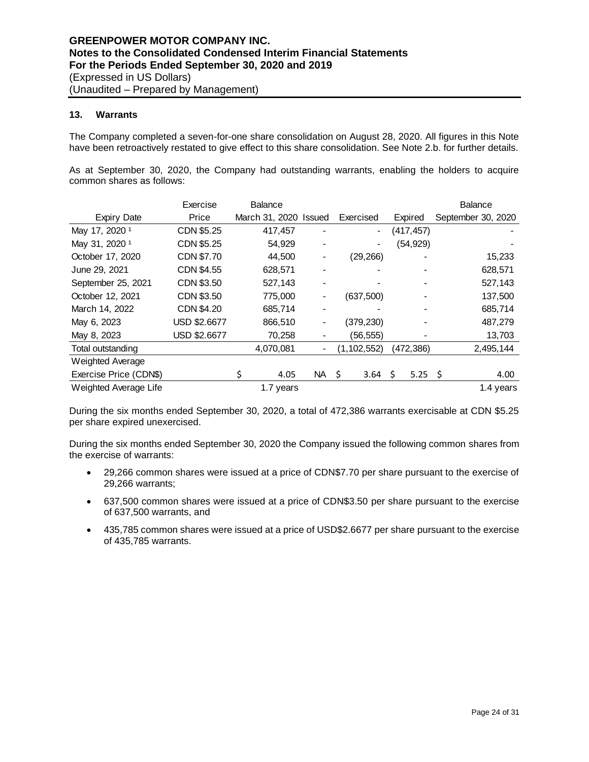## **13. Warrants**

The Company completed a seven-for-one share consolidation on August 28, 2020. All figures in this Note have been retroactively restated to give effect to this share consolidation. See Note 2.b. for further details.

As at September 30, 2020, the Company had outstanding warrants, enabling the holders to acquire common shares as follows:

|                           | Exercise     | <b>Balance</b> |                          |                          |     |            |    | <b>Balance</b>     |
|---------------------------|--------------|----------------|--------------------------|--------------------------|-----|------------|----|--------------------|
| <b>Expiry Date</b>        | Price        | March 31, 2020 | Issued                   | Exercised                |     | Expired    |    | September 30, 2020 |
| May 17, 2020 <sup>1</sup> | CDN \$5.25   | 417,457        |                          | $\overline{\phantom{0}}$ |     | (417, 457) |    |                    |
| May 31, 2020 <sup>1</sup> | CDN \$5.25   | 54,929         |                          |                          |     | (54, 929)  |    |                    |
| October 17, 2020          | CDN \$7.70   | 44,500         |                          | (29, 266)                |     |            |    | 15,233             |
| June 29, 2021             | CDN \$4.55   | 628,571        |                          |                          |     |            |    | 628,571            |
| September 25, 2021        | CDN \$3.50   | 527,143        |                          |                          |     |            |    | 527,143            |
| October 12, 2021          | CDN \$3.50   | 775,000        | -                        | (637, 500)               |     |            |    | 137,500            |
| March 14, 2022            | CDN \$4.20   | 685,714        | $\overline{\phantom{0}}$ |                          |     |            |    | 685,714            |
| May 6, 2023               | USD \$2.6677 | 866,510        | -                        | (379,230)                |     |            |    | 487,279            |
| May 8, 2023               | USD \$2.6677 | 70,258         |                          | (56, 555)                |     |            |    | 13,703             |
| Total outstanding         |              | 4,070,081      | -                        | (1, 102, 552)            |     | (472,386)  |    | 2,495,144          |
| Weighted Average          |              |                |                          |                          |     |            |    |                    |
| Exercise Price (CDN\$)    |              | \$<br>4.05     | NA 1                     | 3.64<br>- Ś              | \$. | 5.25       | Ŝ. | 4.00               |
| Weighted Average Life     |              | 1.7 years      |                          |                          |     |            |    | 1.4 years          |

During the six months ended September 30, 2020, a total of 472,386 warrants exercisable at CDN \$5.25 per share expired unexercised.

During the six months ended September 30, 2020 the Company issued the following common shares from the exercise of warrants:

- 29,266 common shares were issued at a price of CDN\$7.70 per share pursuant to the exercise of 29,266 warrants;
- 637,500 common shares were issued at a price of CDN\$3.50 per share pursuant to the exercise of 637,500 warrants, and
- 435,785 common shares were issued at a price of USD\$2.6677 per share pursuant to the exercise of 435,785 warrants.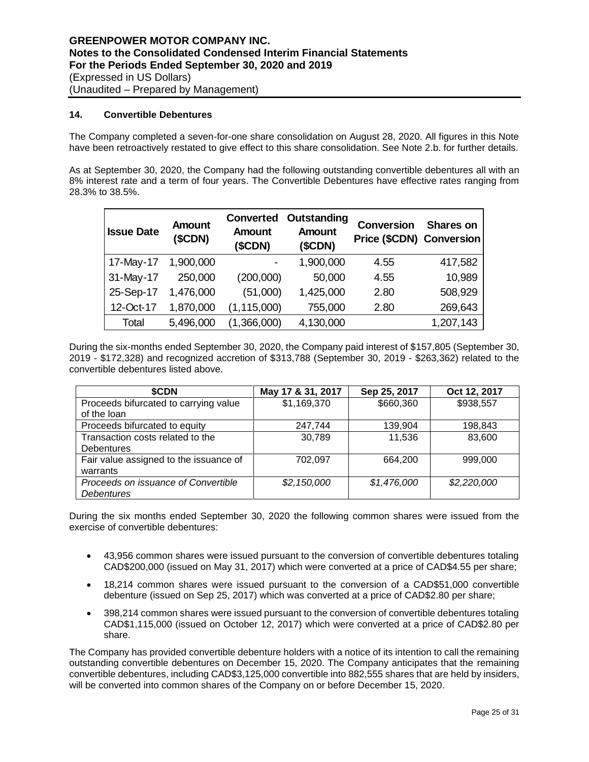## **14. Convertible Debentures**

The Company completed a seven-for-one share consolidation on August 28, 2020. All figures in this Note have been retroactively restated to give effect to this share consolidation. See Note 2.b. for further details.

As at September 30, 2020, the Company had the following outstanding convertible debentures all with an 8% interest rate and a term of four years. The Convertible Debentures have effective rates ranging from 28.3% to 38.5%.

| <b>Issue Date</b> | <b>Amount</b><br>(SCDN) | <b>Converted</b><br><b>Amount</b><br>(SCDN) | Outstanding<br><b>Amount</b><br>(SCDN) | <b>Conversion</b><br><b>Price (\$CDN) Conversion</b> | <b>Shares on</b> |
|-------------------|-------------------------|---------------------------------------------|----------------------------------------|------------------------------------------------------|------------------|
| 17-May-17         | 1,900,000               |                                             | 1,900,000                              | 4.55                                                 | 417,582          |
| 31-May-17         | 250,000                 | (200,000)                                   | 50,000                                 | 4.55                                                 | 10,989           |
| 25-Sep-17         | 1,476,000               | (51,000)                                    | 1,425,000                              | 2.80                                                 | 508,929          |
| 12-Oct-17         | 1,870,000               | (1, 115, 000)                               | 755,000                                | 2.80                                                 | 269,643          |
| Total             | 5,496,000               | (1,366,000)                                 | 4,130,000                              |                                                      | 1,207,143        |

During the six-months ended September 30, 2020, the Company paid interest of \$157,805 (September 30, 2019 - \$172,328) and recognized accretion of \$313,788 (September 30, 2019 - \$263,362) related to the convertible debentures listed above.

| \$CDN                                  | May 17 & 31, 2017 | Sep 25, 2017 | Oct 12, 2017 |
|----------------------------------------|-------------------|--------------|--------------|
| Proceeds bifurcated to carrying value  | \$1,169,370       | \$660,360    | \$938,557    |
| of the loan                            |                   |              |              |
| Proceeds bifurcated to equity          | 247,744           | 139,904      | 198,843      |
| Transaction costs related to the       | 30,789            | 11,536       | 83,600       |
| <b>Debentures</b>                      |                   |              |              |
| Fair value assigned to the issuance of | 702,097           | 664,200      | 999,000      |
| warrants                               |                   |              |              |
| Proceeds on issuance of Convertible    | \$2,150,000       | \$1,476,000  | \$2,220,000  |
| <b>Debentures</b>                      |                   |              |              |

During the six months ended September 30, 2020 the following common shares were issued from the exercise of convertible debentures:

- 43,956 common shares were issued pursuant to the conversion of convertible debentures totaling CAD\$200,000 (issued on May 31, 2017) which were converted at a price of CAD\$4.55 per share;
- 18,214 common shares were issued pursuant to the conversion of a CAD\$51,000 convertible debenture (issued on Sep 25, 2017) which was converted at a price of CAD\$2.80 per share;
- 398,214 common shares were issued pursuant to the conversion of convertible debentures totaling CAD\$1,115,000 (issued on October 12, 2017) which were converted at a price of CAD\$2.80 per share.

The Company has provided convertible debenture holders with a notice of its intention to call the remaining outstanding convertible debentures on December 15, 2020. The Company anticipates that the remaining convertible debentures, including CAD\$3,125,000 convertible into 882,555 shares that are held by insiders, will be converted into common shares of the Company on or before December 15, 2020.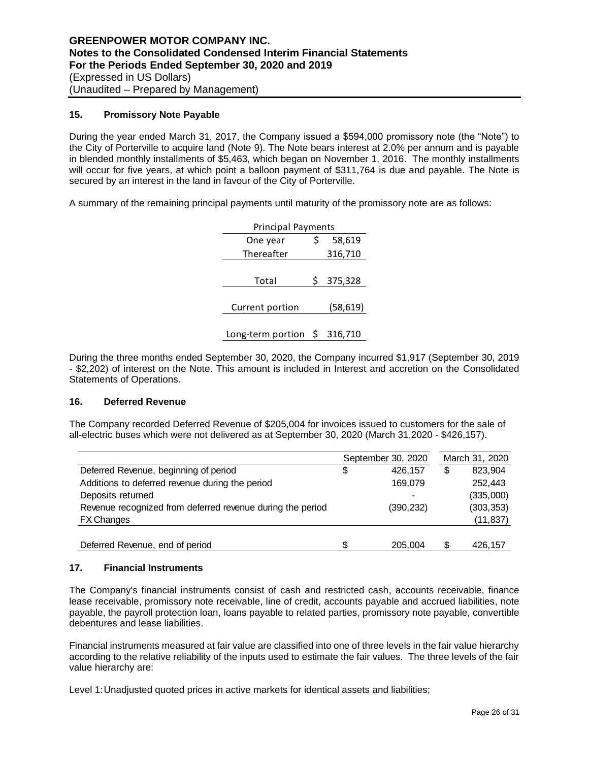#### **15. Promissory Note Payable**

During the year ended March 31, 2017, the Company issued a \$594,000 promissory note (the "Note") to the City of Porterville to acquire land (Note 9). The Note bears interest at 2.0% per annum and is payable in blended monthly installments of \$5,463, which began on November 1, 2016. The monthly installments will occur for five years, at which point a balloon payment of \$311,764 is due and payable. The Note is secured by an interest in the land in favour of the City of Porterville.

A summary of the remaining principal payments until maturity of the promissory note are as follows:

| <b>Principal Payments</b> |   |           |  |  |  |  |  |  |
|---------------------------|---|-----------|--|--|--|--|--|--|
| One year                  | Ś | 58,619    |  |  |  |  |  |  |
| Thereafter                |   | 316,710   |  |  |  |  |  |  |
|                           |   |           |  |  |  |  |  |  |
| Total                     | S | 375,328   |  |  |  |  |  |  |
|                           |   |           |  |  |  |  |  |  |
| Current portion           |   | (58, 619) |  |  |  |  |  |  |
|                           |   |           |  |  |  |  |  |  |
| Long-term portion \$      |   | 316,710   |  |  |  |  |  |  |

During the three months ended September 30, 2020, the Company incurred \$1,917 (September 30, 2019 - \$2,202) of interest on the Note. This amount is included in Interest and accretion on the Consolidated Statements of Operations.

#### **16. Deferred Revenue**

The Company recorded Deferred Revenue of \$205,004 for invoices issued to customers for the sale of all-electric buses which were not delivered as at September 30, 2020 (March 31,2020 - \$426,157).

|                                                            |    | September 30, 2020 | March 31, 2020 |
|------------------------------------------------------------|----|--------------------|----------------|
| Deferred Revenue, beginning of period                      | \$ | 426.157            | \$<br>823,904  |
| Additions to deferred revenue during the period            |    | 169,079            | 252,443        |
| Deposits returned                                          |    |                    | (335,000)      |
| Revenue recognized from deferred revenue during the period |    | (390, 232)         | (303, 353)     |
| <b>FX Changes</b>                                          |    |                    | (11, 837)      |
|                                                            |    |                    |                |
| Deferred Revenue, end of period                            | S  | 205.004            | \$<br>426.157  |

## **17. Financial Instruments**

The Company's financial instruments consist of cash and restricted cash, accounts receivable, finance lease receivable, promissory note receivable, line of credit, accounts payable and accrued liabilities, note payable, the payroll protection loan, loans payable to related parties, promissory note payable, convertible debentures and lease liabilities.

Financial instruments measured at fair value are classified into one of three levels in the fair value hierarchy according to the relative reliability of the inputs used to estimate the fair values. The three levels of the fair value hierarchy are:

Level 1:Unadjusted quoted prices in active markets for identical assets and liabilities;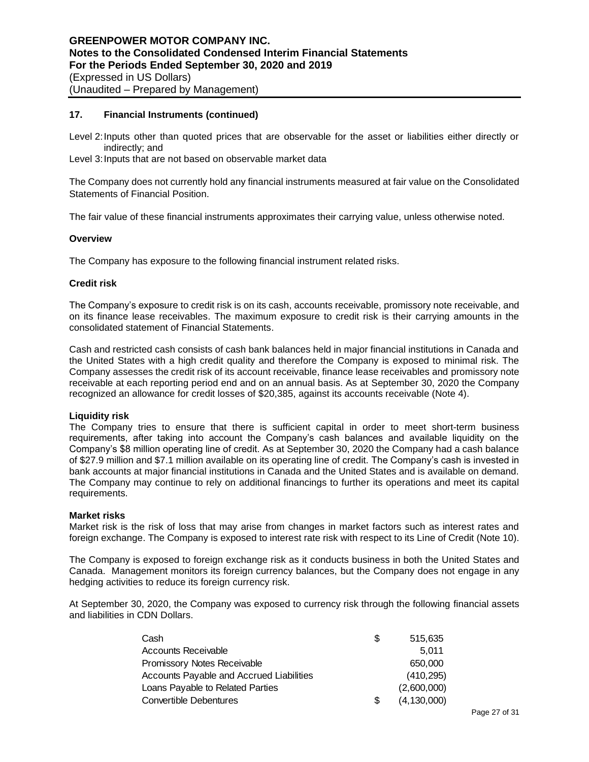## **17. Financial Instruments (continued)**

Level 2:Inputs other than quoted prices that are observable for the asset or liabilities either directly or indirectly; and

Level 3: Inputs that are not based on observable market data

The Company does not currently hold any financial instruments measured at fair value on the Consolidated Statements of Financial Position.

The fair value of these financial instruments approximates their carrying value, unless otherwise noted.

#### **Overview**

The Company has exposure to the following financial instrument related risks.

#### **Credit risk**

The Company's exposure to credit risk is on its cash, accounts receivable, promissory note receivable, and on its finance lease receivables. The maximum exposure to credit risk is their carrying amounts in the consolidated statement of Financial Statements.

Cash and restricted cash consists of cash bank balances held in major financial institutions in Canada and the United States with a high credit quality and therefore the Company is exposed to minimal risk. The Company assesses the credit risk of its account receivable, finance lease receivables and promissory note receivable at each reporting period end and on an annual basis. As at September 30, 2020 the Company recognized an allowance for credit losses of \$20,385, against its accounts receivable (Note 4).

#### **Liquidity risk**

The Company tries to ensure that there is sufficient capital in order to meet short-term business requirements, after taking into account the Company's cash balances and available liquidity on the Company's \$8 million operating line of credit. As at September 30, 2020 the Company had a cash balance of \$27.9 million and \$7.1 million available on its operating line of credit. The Company's cash is invested in bank accounts at major financial institutions in Canada and the United States and is available on demand. The Company may continue to rely on additional financings to further its operations and meet its capital requirements.

## **Market risks**

Market risk is the risk of loss that may arise from changes in market factors such as interest rates and foreign exchange. The Company is exposed to interest rate risk with respect to its Line of Credit (Note 10).

The Company is exposed to foreign exchange risk as it conducts business in both the United States and Canada. Management monitors its foreign currency balances, but the Company does not engage in any hedging activities to reduce its foreign currency risk.

At September 30, 2020, the Company was exposed to currency risk through the following financial assets and liabilities in CDN Dollars.

| Cash                                     | S | 515,635       |
|------------------------------------------|---|---------------|
| Accounts Receivable                      |   | 5.011         |
| Promissory Notes Receivable              |   | 650,000       |
| Accounts Payable and Accrued Liabilities |   | (410, 295)    |
| Loans Payable to Related Parties         |   | (2,600,000)   |
| Convertible Debentures                   |   | (4, 130, 000) |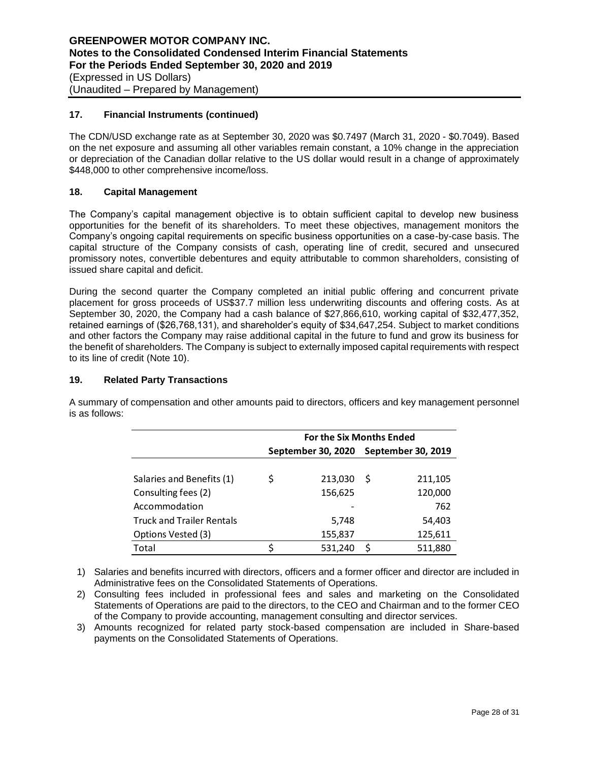## **17. Financial Instruments (continued)**

The CDN/USD exchange rate as at September 30, 2020 was \$0.7497 (March 31, 2020 - \$0.7049). Based on the net exposure and assuming all other variables remain constant, a 10% change in the appreciation or depreciation of the Canadian dollar relative to the US dollar would result in a change of approximately \$448,000 to other comprehensive income/loss.

## **18. Capital Management**

The Company's capital management objective is to obtain sufficient capital to develop new business opportunities for the benefit of its shareholders. To meet these objectives, management monitors the Company's ongoing capital requirements on specific business opportunities on a case-by-case basis. The capital structure of the Company consists of cash, operating line of credit, secured and unsecured promissory notes, convertible debentures and equity attributable to common shareholders, consisting of issued share capital and deficit.

During the second quarter the Company completed an initial public offering and concurrent private placement for gross proceeds of US\$37.7 million less underwriting discounts and offering costs. As at September 30, 2020, the Company had a cash balance of \$27,866,610, working capital of \$32,477,352, retained earnings of (\$26,768,131), and shareholder's equity of \$34,647,254. Subject to market conditions and other factors the Company may raise additional capital in the future to fund and grow its business for the benefit of shareholders. The Company is subject to externally imposed capital requirements with respect to its line of credit (Note 10).

## **19. Related Party Transactions**

|                                  | <b>For the Six Months Ended</b> |                    |    |                           |  |  |  |
|----------------------------------|---------------------------------|--------------------|----|---------------------------|--|--|--|
|                                  |                                 | September 30, 2020 |    | <b>September 30, 2019</b> |  |  |  |
|                                  |                                 |                    |    |                           |  |  |  |
| Salaries and Benefits (1)        | \$                              | 213,030            | -S | 211,105                   |  |  |  |
| Consulting fees (2)              |                                 | 156,625            |    | 120,000                   |  |  |  |
| Accommodation                    |                                 |                    |    | 762                       |  |  |  |
| <b>Truck and Trailer Rentals</b> |                                 | 5,748              |    | 54,403                    |  |  |  |
| Options Vested (3)               |                                 | 155,837            |    | 125,611                   |  |  |  |
| Total                            |                                 | 531,240            | S  | 511,880                   |  |  |  |

A summary of compensation and other amounts paid to directors, officers and key management personnel is as follows:

1) Salaries and benefits incurred with directors, officers and a former officer and director are included in Administrative fees on the Consolidated Statements of Operations.

2) Consulting fees included in professional fees and sales and marketing on the Consolidated Statements of Operations are paid to the directors, to the CEO and Chairman and to the former CEO of the Company to provide accounting, management consulting and director services.

3) Amounts recognized for related party stock-based compensation are included in Share-based payments on the Consolidated Statements of Operations.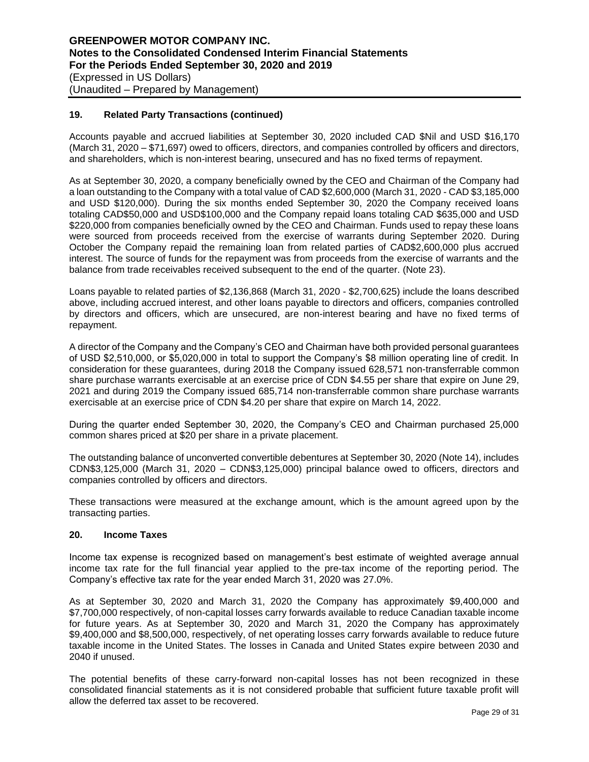## **19. Related Party Transactions (continued)**

Accounts payable and accrued liabilities at September 30, 2020 included CAD \$Nil and USD \$16,170 (March 31, 2020 – \$71,697) owed to officers, directors, and companies controlled by officers and directors, and shareholders, which is non-interest bearing, unsecured and has no fixed terms of repayment.

As at September 30, 2020, a company beneficially owned by the CEO and Chairman of the Company had a loan outstanding to the Company with a total value of CAD \$2,600,000 (March 31, 2020 - CAD \$3,185,000 and USD \$120,000). During the six months ended September 30, 2020 the Company received loans totaling CAD\$50,000 and USD\$100,000 and the Company repaid loans totaling CAD \$635,000 and USD \$220,000 from companies beneficially owned by the CEO and Chairman. Funds used to repay these loans were sourced from proceeds received from the exercise of warrants during September 2020. During October the Company repaid the remaining loan from related parties of CAD\$2,600,000 plus accrued interest. The source of funds for the repayment was from proceeds from the exercise of warrants and the balance from trade receivables received subsequent to the end of the quarter. (Note 23).

Loans payable to related parties of \$2,136,868 (March 31, 2020 - \$2,700,625) include the loans described above, including accrued interest, and other loans payable to directors and officers, companies controlled by directors and officers, which are unsecured, are non-interest bearing and have no fixed terms of repayment.

A director of the Company and the Company's CEO and Chairman have both provided personal guarantees of USD \$2,510,000, or \$5,020,000 in total to support the Company's \$8 million operating line of credit. In consideration for these guarantees, during 2018 the Company issued 628,571 non-transferrable common share purchase warrants exercisable at an exercise price of CDN \$4.55 per share that expire on June 29, 2021 and during 2019 the Company issued 685,714 non-transferrable common share purchase warrants exercisable at an exercise price of CDN \$4.20 per share that expire on March 14, 2022.

During the quarter ended September 30, 2020, the Company's CEO and Chairman purchased 25,000 common shares priced at \$20 per share in a private placement.

The outstanding balance of unconverted convertible debentures at September 30, 2020 (Note 14), includes CDN\$3,125,000 (March 31, 2020 – CDN\$3,125,000) principal balance owed to officers, directors and companies controlled by officers and directors.

These transactions were measured at the exchange amount, which is the amount agreed upon by the transacting parties.

## **20. Income Taxes**

Income tax expense is recognized based on management's best estimate of weighted average annual income tax rate for the full financial year applied to the pre-tax income of the reporting period. The Company's effective tax rate for the year ended March 31, 2020 was 27.0%.

As at September 30, 2020 and March 31, 2020 the Company has approximately \$9,400,000 and \$7,700,000 respectively, of non-capital losses carry forwards available to reduce Canadian taxable income for future years. As at September 30, 2020 and March 31, 2020 the Company has approximately \$9,400,000 and \$8,500,000, respectively, of net operating losses carry forwards available to reduce future taxable income in the United States. The losses in Canada and United States expire between 2030 and 2040 if unused.

The potential benefits of these carry-forward non-capital losses has not been recognized in these consolidated financial statements as it is not considered probable that sufficient future taxable profit will allow the deferred tax asset to be recovered.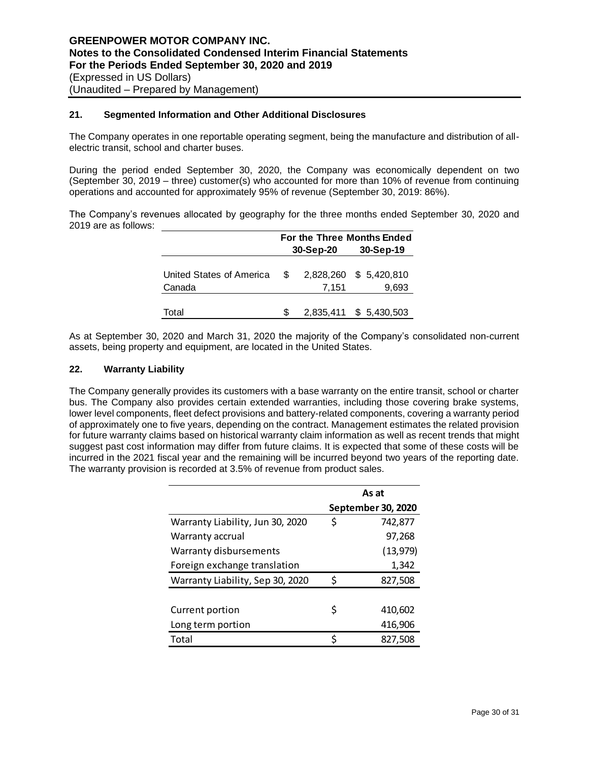## **21. Segmented Information and Other Additional Disclosures**

The Company operates in one reportable operating segment, being the manufacture and distribution of allelectric transit, school and charter buses.

During the period ended September 30, 2020, the Company was economically dependent on two (September 30, 2019 – three) customer(s) who accounted for more than 10% of revenue from continuing operations and accounted for approximately 95% of revenue (September 30, 2019: 86%).

The Company's revenues allocated by geography for the three months ended September 30, 2020 and 2019 are as follows:

|                                                              | For the Three Months Ended |           |                        |  |  |  |
|--------------------------------------------------------------|----------------------------|-----------|------------------------|--|--|--|
|                                                              |                            | 30-Sep-20 | 30-Sep-19              |  |  |  |
| United States of America $$2,828,260$ \$ 5,420,810<br>Canada |                            | 7.151     | 9,693                  |  |  |  |
|                                                              |                            |           |                        |  |  |  |
| Total                                                        | S.                         |           | 2,835,411 \$ 5,430,503 |  |  |  |

As at September 30, 2020 and March 31, 2020 the majority of the Company's consolidated non-current assets, being property and equipment, are located in the United States.

#### **22. Warranty Liability**

The Company generally provides its customers with a base warranty on the entire transit, school or charter bus. The Company also provides certain extended warranties, including those covering brake systems, lower level components, fleet defect provisions and battery-related components, covering a warranty period of approximately one to five years, depending on the contract. Management estimates the related provision for future warranty claims based on historical warranty claim information as well as recent trends that might suggest past cost information may differ from future claims. It is expected that some of these costs will be incurred in the 2021 fiscal year and the remaining will be incurred beyond two years of the reporting date. The warranty provision is recorded at 3.5% of revenue from product sales.

|                                  |    | As at              |
|----------------------------------|----|--------------------|
|                                  |    | September 30, 2020 |
| Warranty Liability, Jun 30, 2020 | \$ | 742,877            |
| Warranty accrual                 |    | 97,268             |
| Warranty disbursements           |    | (13, 979)          |
| Foreign exchange translation     |    | 1,342              |
| Warranty Liability, Sep 30, 2020 | Ś  | 827,508            |
|                                  |    |                    |
| Current portion                  | \$ | 410,602            |
| Long term portion                |    | 416,906            |
| Total                            | Ś  | 827,508            |